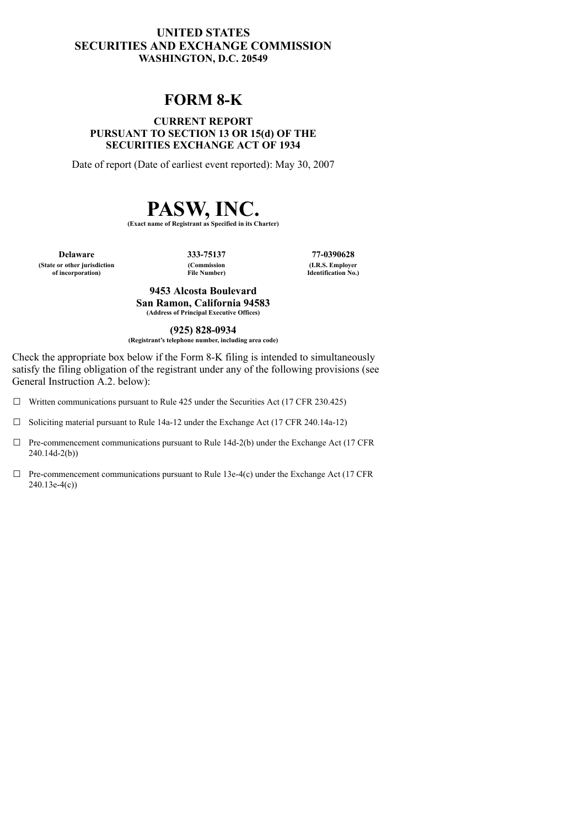## **UNITED STATES SECURITIES AND EXCHANGE COMMISSION WASHINGTON, D.C. 20549**

## **FORM 8-K**

#### **CURRENT REPORT PURSUANT TO SECTION 13 OR 15(d) OF THE SECURITIES EXCHANGE ACT OF 1934**

Date of report (Date of earliest event reported): May 30, 2007

# **PASW, INC.**

**(Exact name of Registrant as Specified in its Charter)**

**Delaware 333-75137 77-0390628 (State or other jurisdiction of incorporation)**

**(Commission File Number)**

**(I.R.S. Employer Identification No.)**

**9453 Alcosta Boulevard San Ramon, California 94583 (Address of Principal Executive Offices)**

**(925) 828-0934**

**(Registrant's telephone number, including area code)**

Check the appropriate box below if the Form 8-K filing is intended to simultaneously satisfy the filing obligation of the registrant under any of the following provisions (see General Instruction A.2. below):

- $\Box$  Written communications pursuant to Rule 425 under the Securities Act (17 CFR 230.425)
- ☐ Soliciting material pursuant to Rule 14a-12 under the Exchange Act (17 CFR 240.14a-12)
- $\Box$  Pre-commencement communications pursuant to Rule 14d-2(b) under the Exchange Act (17 CFR 240.14d-2(b))
- $\Box$  Pre-commencement communications pursuant to Rule 13e-4(c) under the Exchange Act (17 CFR 240.13e-4(c))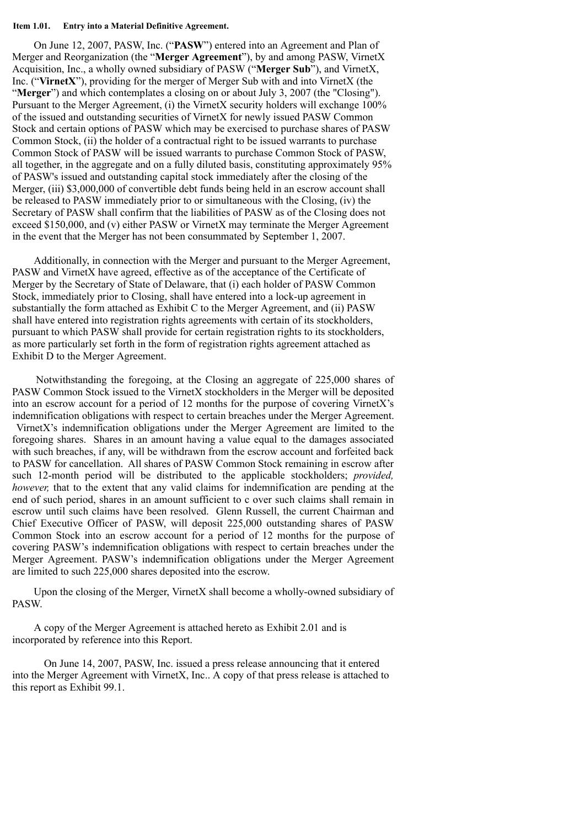#### **Item 1.01. Entry into a Material Definitive Agreement.**

On June 12, 2007, PASW, Inc. ("**PASW**") entered into an Agreement and Plan of Merger and Reorganization (the "**Merger Agreement**"), by and among PASW, VirnetX Acquisition, Inc., a wholly owned subsidiary of PASW ("**Merger Sub**"), and VirnetX, Inc. ("**VirnetX**"), providing for the merger of Merger Sub with and into VirnetX (the "**Merger**") and which contemplates a closing on or about July 3, 2007 (the "Closing"). Pursuant to the Merger Agreement, (i) the VirnetX security holders will exchange 100% of the issued and outstanding securities of VirnetX for newly issued PASW Common Stock and certain options of PASW which may be exercised to purchase shares of PASW Common Stock, (ii) the holder of a contractual right to be issued warrants to purchase Common Stock of PASW will be issued warrants to purchase Common Stock of PASW, all together, in the aggregate and on a fully diluted basis, constituting approximately 95% of PASW's issued and outstanding capital stock immediately after the closing of the Merger, (iii) \$3,000,000 of convertible debt funds being held in an escrow account shall be released to PASW immediately prior to or simultaneous with the Closing, (iv) the Secretary of PASW shall confirm that the liabilities of PASW as of the Closing does not exceed \$150,000, and (v) either PASW or VirnetX may terminate the Merger Agreement in the event that the Merger has not been consummated by September 1, 2007.

Additionally, in connection with the Merger and pursuant to the Merger Agreement, PASW and VirnetX have agreed, effective as of the acceptance of the Certificate of Merger by the Secretary of State of Delaware, that (i) each holder of PASW Common Stock, immediately prior to Closing, shall have entered into a lock-up agreement in substantially the form attached as Exhibit C to the Merger Agreement, and (ii) PASW shall have entered into registration rights agreements with certain of its stockholders, pursuant to which PASW shall provide for certain registration rights to its stockholders, as more particularly set forth in the form of registration rights agreement attached as Exhibit D to the Merger Agreement.

Notwithstanding the foregoing, at the Closing an aggregate of 225,000 shares of PASW Common Stock issued to the VirnetX stockholders in the Merger will be deposited into an escrow account for a period of 12 months for the purpose of covering VirnetX's indemnification obligations with respect to certain breaches under the Merger Agreement. VirnetX's indemnification obligations under the Merger Agreement are limited to the foregoing shares. Shares in an amount having a value equal to the damages associated with such breaches, if any, will be withdrawn from the escrow account and forfeited back to PASW for cancellation. All shares of PASW Common Stock remaining in escrow after such 12-month period will be distributed to the applicable stockholders; *provided, however,* that to the extent that any valid claims for indemnification are pending at the end of such period, shares in an amount sufficient to c over such claims shall remain in escrow until such claims have been resolved. Glenn Russell, the current Chairman and Chief Executive Officer of PASW, will deposit 225,000 outstanding shares of PASW Common Stock into an escrow account for a period of 12 months for the purpose of covering PASW's indemnification obligations with respect to certain breaches under the Merger Agreement. PASW's indemnification obligations under the Merger Agreement are limited to such 225,000 shares deposited into the escrow.

Upon the closing of the Merger, VirnetX shall become a wholly-owned subsidiary of PASW.

A copy of the Merger Agreement is attached hereto as Exhibit 2.01 and is incorporated by reference into this Report.

On June 14, 2007, PASW, Inc. issued a press release announcing that it entered into the Merger Agreement with VirnetX, Inc.. A copy of that press release is attached to this report as Exhibit 99.1.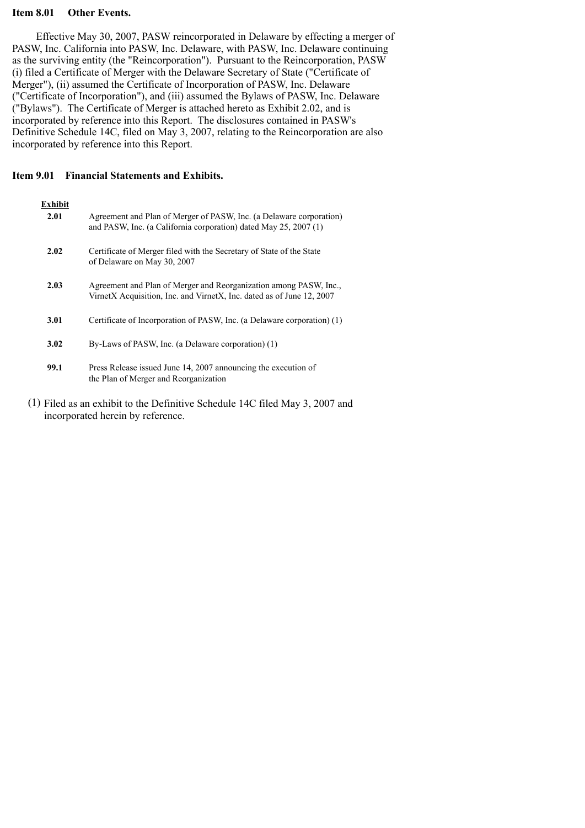#### **Item 8.01 Other Events.**

Effective May 30, 2007, PASW reincorporated in Delaware by effecting a merger of PASW, Inc. California into PASW, Inc. Delaware, with PASW, Inc. Delaware continuing as the surviving entity (the "Reincorporation"). Pursuant to the Reincorporation, PASW (i) filed a Certificate of Merger with the Delaware Secretary of State ("Certificate of Merger"), (ii) assumed the Certificate of Incorporation of PASW, Inc. Delaware ("Certificate of Incorporation"), and (iii) assumed the Bylaws of PASW, Inc. Delaware ("Bylaws"). The Certificate of Merger is attached hereto as Exhibit 2.02, and is incorporated by reference into this Report. The disclosures contained in PASW's Definitive Schedule 14C, filed on May 3, 2007, relating to the Reincorporation are also incorporated by reference into this Report.

**Item 9.01 Financial Statements and Exhibits.**

| Exhibit<br>2.01 | Agreement and Plan of Merger of PASW, Inc. (a Delaware corporation)<br>and PASW, Inc. (a California corporation) dated May 25, 2007 (1)    |
|-----------------|--------------------------------------------------------------------------------------------------------------------------------------------|
| 2.02            | Certificate of Merger filed with the Secretary of State of the State<br>of Delaware on May 30, 2007                                        |
| 2.03            | Agreement and Plan of Merger and Reorganization among PASW, Inc.,<br>VirnetX Acquisition, Inc. and VirnetX, Inc. dated as of June 12, 2007 |
| 3.01            | Certificate of Incorporation of PASW, Inc. (a Delaware corporation) (1)                                                                    |
| 3.02            | By-Laws of PASW, Inc. (a Delaware corporation) (1)                                                                                         |
| 99.1            | Press Release issued June 14, 2007 announcing the execution of<br>the Plan of Merger and Reorganization                                    |

(1) Filed as an exhibit to the Definitive Schedule 14C filed May 3, 2007 and incorporated herein by reference.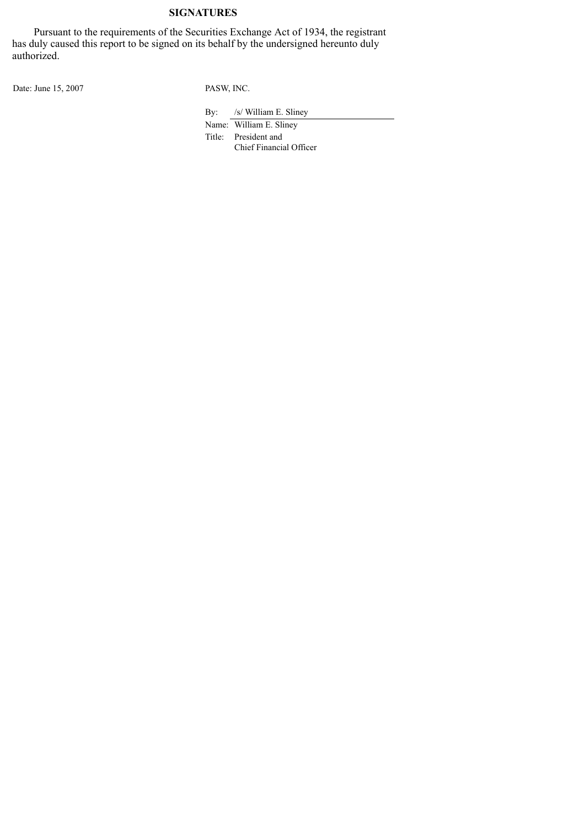## **SIGNATURES**

Pursuant to the requirements of the Securities Exchange Act of 1934, the registrant has duly caused this report to be signed on its behalf by the undersigned hereunto duly authorized.

Date: June 15, 2007 PASW, INC.

By: /s/ William E. Sliney

Name: William E. Sliney Title: President and Chief Financial Officer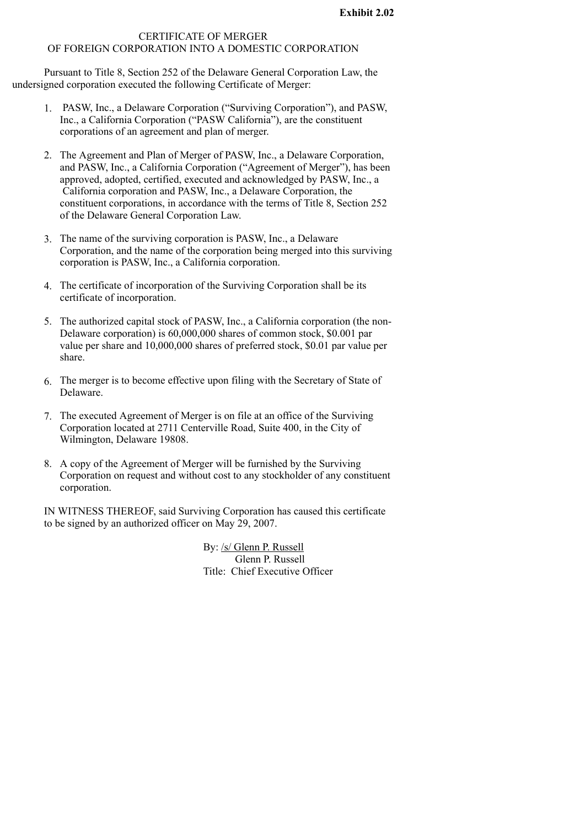#### CERTIFICATE OF MERGER OF FOREIGN CORPORATION INTO A DOMESTIC CORPORATION

Pursuant to Title 8, Section 252 of the Delaware General Corporation Law, the undersigned corporation executed the following Certificate of Merger:

- 1. PASW, Inc., a Delaware Corporation ("Surviving Corporation"), and PASW, Inc., a California Corporation ("PASW California"), are the constituent corporations of an agreement and plan of merger.
- 2. The Agreement and Plan of Merger of PASW, Inc., a Delaware Corporation, and PASW, Inc., a California Corporation ("Agreement of Merger"), has been approved, adopted, certified, executed and acknowledged by PASW, Inc., a California corporation and PASW, Inc., a Delaware Corporation, the constituent corporations, in accordance with the terms of Title 8, Section 252 of the Delaware General Corporation Law.
- 3. The name of the surviving corporation is PASW, Inc., a Delaware Corporation, and the name of the corporation being merged into this surviving corporation is PASW, Inc., a California corporation.
- 4. The certificate of incorporation of the Surviving Corporation shall be its certificate of incorporation.
- 5. The authorized capital stock of PASW, Inc., a California corporation (the non-Delaware corporation) is 60,000,000 shares of common stock, \$0.001 par value per share and 10,000,000 shares of preferred stock, \$0.01 par value per share.
- 6. The merger is to become effective upon filing with the Secretary of State of Delaware.
- 7. The executed Agreement of Merger is on file at an office of the Surviving Corporation located at 2711 Centerville Road, Suite 400, in the City of Wilmington, Delaware 19808.
- 8. A copy of the Agreement of Merger will be furnished by the Surviving Corporation on request and without cost to any stockholder of any constituent corporation.

IN WITNESS THEREOF, said Surviving Corporation has caused this certificate to be signed by an authorized officer on May 29, 2007.

> By: /s/ Glenn P. Russell Glenn P. Russell Title: Chief Executive Officer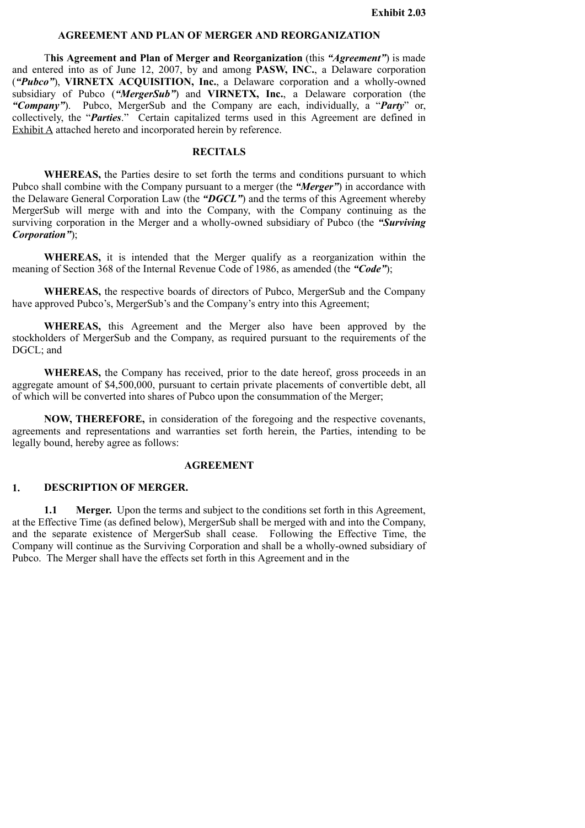#### **AGREEMENT AND PLAN OF MERGER AND REORGANIZATION**

T**his Agreement and Plan of Merger and Reorganization** (this *"Agreement"*) is made and entered into as of June 12, 2007, by and among **PASW, INC.**, a Delaware corporation (*"Pubco"*), **VIRNETX ACQUISITION, Inc.**, a Delaware corporation and a wholly-owned subsidiary of Pubco (*"MergerSub"*) and **VIRNETX, Inc.**, a Delaware corporation (the *"Company"*). Pubco, MergerSub and the Company are each, individually, a "*Party*" or, collectively, the "*Parties*." Certain capitalized terms used in this Agreement are defined in Exhibit A attached hereto and incorporated herein by reference.

#### **RECITALS**

**WHEREAS,** the Parties desire to set forth the terms and conditions pursuant to which Pubco shall combine with the Company pursuant to a merger (the *"Merger"*) in accordance with the Delaware General Corporation Law (the *"DGCL"*) and the terms of this Agreement whereby MergerSub will merge with and into the Company, with the Company continuing as the surviving corporation in the Merger and a wholly-owned subsidiary of Pubco (the *"Surviving Corporation"*);

**WHEREAS,** it is intended that the Merger qualify as a reorganization within the meaning of Section 368 of the Internal Revenue Code of 1986, as amended (the *"Code"*);

**WHEREAS,** the respective boards of directors of Pubco, MergerSub and the Company have approved Pubco's, MergerSub's and the Company's entry into this Agreement;

**WHEREAS,** this Agreement and the Merger also have been approved by the stockholders of MergerSub and the Company, as required pursuant to the requirements of the DGCL; and

**WHEREAS,** the Company has received, prior to the date hereof, gross proceeds in an aggregate amount of \$4,500,000, pursuant to certain private placements of convertible debt, all of which will be converted into shares of Pubco upon the consummation of the Merger;

**NOW, THEREFORE,** in consideration of the foregoing and the respective covenants, agreements and representations and warranties set forth herein, the Parties, intending to be legally bound, hereby agree as follows:

#### **AGREEMENT**

#### **1. DESCRIPTION OF MERGER.**

**1.1 Merger.** Upon the terms and subject to the conditions set forth in this Agreement, at the Effective Time (as defined below), MergerSub shall be merged with and into the Company, and the separate existence of MergerSub shall cease. Following the Effective Time, the Company will continue as the Surviving Corporation and shall be a wholly-owned subsidiary of Pubco. The Merger shall have the effects set forth in this Agreement and in the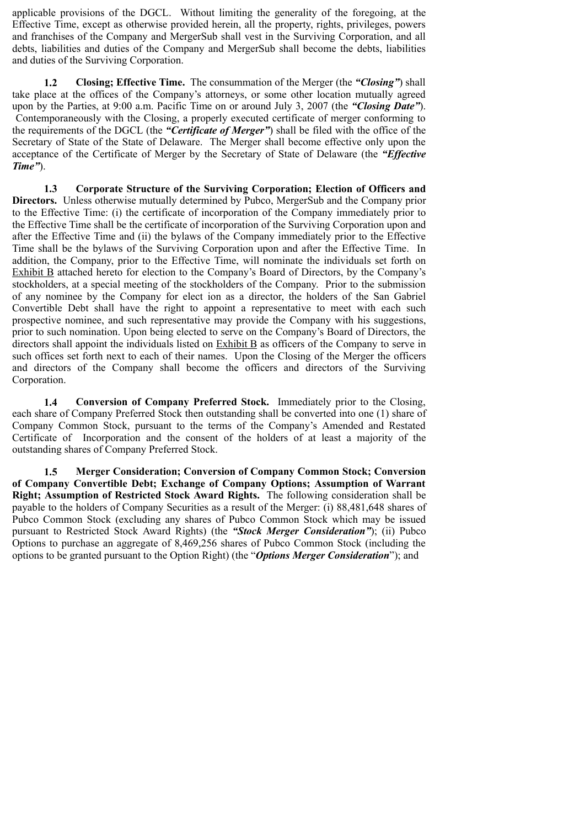applicable provisions of the DGCL. Without limiting the generality of the foregoing, at the Effective Time, except as otherwise provided herein, all the property, rights, privileges, powers and franchises of the Company and MergerSub shall vest in the Surviving Corporation, and all debts, liabilities and duties of the Company and MergerSub shall become the debts, liabilities and duties of the Surviving Corporation.

**1.2 Closing; Effective Time.** The consummation of the Merger (the *"Closing"*) shall take place at the offices of the Company's attorneys, or some other location mutually agreed upon by the Parties, at 9:00 a.m. Pacific Time on or around July 3, 2007 (the *"Closing Date"*). Contemporaneously with the Closing, a properly executed certificate of merger conforming to the requirements of the DGCL (the *"Certificate of Merger"*) shall be filed with the office of the Secretary of State of the State of Delaware. The Merger shall become effective only upon the acceptance of the Certificate of Merger by the Secretary of State of Delaware (the *"Effective Time"*).

**1.3 Corporate Structure of the Surviving Corporation; Election of Officers and Directors.** Unless otherwise mutually determined by Pubco, MergerSub and the Company prior to the Effective Time: (i) the certificate of incorporation of the Company immediately prior to the Effective Time shall be the certificate of incorporation of the Surviving Corporation upon and after the Effective Time and (ii) the bylaws of the Company immediately prior to the Effective Time shall be the bylaws of the Surviving Corporation upon and after the Effective Time. In addition, the Company, prior to the Effective Time, will nominate the individuals set forth on Exhibit B attached hereto for election to the Company's Board of Directors, by the Company's stockholders, at a special meeting of the stockholders of the Company. Prior to the submission of any nominee by the Company for elect ion as a director, the holders of the San Gabriel Convertible Debt shall have the right to appoint a representative to meet with each such prospective nominee, and such representative may provide the Company with his suggestions, prior to such nomination. Upon being elected to serve on the Company's Board of Directors, the directors shall appoint the individuals listed on Exhibit B as officers of the Company to serve in such offices set forth next to each of their names. Upon the Closing of the Merger the officers and directors of the Company shall become the officers and directors of the Surviving Corporation.

**1.4 Conversion of Company Preferred Stock.** Immediately prior to the Closing, each share of Company Preferred Stock then outstanding shall be converted into one (1) share of Company Common Stock, pursuant to the terms of the Company's Amended and Restated Certificate of Incorporation and the consent of the holders of at least a majority of the outstanding shares of Company Preferred Stock.

**1.5 Merger Consideration; Conversion of Company Common Stock; Conversion of Company Convertible Debt; Exchange of Company Options; Assumption of Warrant Right; Assumption of Restricted Stock Award Rights.** The following consideration shall be payable to the holders of Company Securities as a result of the Merger: (i) 88,481,648 shares of Pubco Common Stock (excluding any shares of Pubco Common Stock which may be issued pursuant to Restricted Stock Award Rights) (the *"Stock Merger Consideration"*); (ii) Pubco Options to purchase an aggregate of 8,469,256 shares of Pubco Common Stock (including the options to be granted pursuant to the Option Right) (the "*Options Merger Consideration*"); and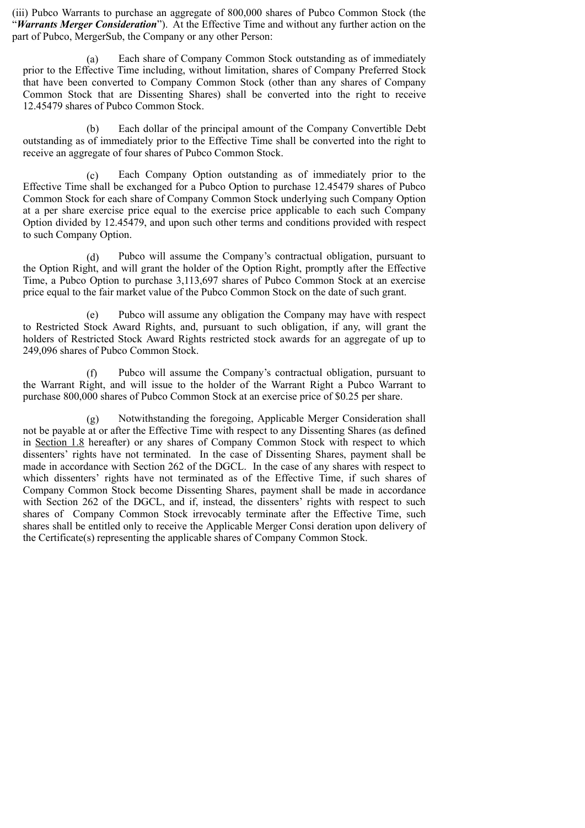(iii) Pubco Warrants to purchase an aggregate of 800,000 shares of Pubco Common Stock (the "*Warrants Merger Consideration*"). At the Effective Time and without any further action on the part of Pubco, MergerSub, the Company or any other Person:

(a) Each share of Company Common Stock outstanding as of immediately prior to the Effective Time including, without limitation, shares of Company Preferred Stock that have been converted to Company Common Stock (other than any shares of Company Common Stock that are Dissenting Shares) shall be converted into the right to receive 12.45479 shares of Pubco Common Stock.

(b) Each dollar of the principal amount of the Company Convertible Debt outstanding as of immediately prior to the Effective Time shall be converted into the right to receive an aggregate of four shares of Pubco Common Stock.

(c) Each Company Option outstanding as of immediately prior to the Effective Time shall be exchanged for a Pubco Option to purchase 12.45479 shares of Pubco Common Stock for each share of Company Common Stock underlying such Company Option at a per share exercise price equal to the exercise price applicable to each such Company Option divided by 12.45479, and upon such other terms and conditions provided with respect to such Company Option.

(d) Pubco will assume the Company's contractual obligation, pursuant to the Option Right, and will grant the holder of the Option Right, promptly after the Effective Time, a Pubco Option to purchase 3,113,697 shares of Pubco Common Stock at an exercise price equal to the fair market value of the Pubco Common Stock on the date of such grant.

(e) Pubco will assume any obligation the Company may have with respect to Restricted Stock Award Rights, and, pursuant to such obligation, if any, will grant the holders of Restricted Stock Award Rights restricted stock awards for an aggregate of up to 249,096 shares of Pubco Common Stock.

(f) Pubco will assume the Company's contractual obligation, pursuant to the Warrant Right, and will issue to the holder of the Warrant Right a Pubco Warrant to purchase 800,000 shares of Pubco Common Stock at an exercise price of \$0.25 per share.

(g) Notwithstanding the foregoing, Applicable Merger Consideration shall not be payable at or after the Effective Time with respect to any Dissenting Shares (as defined in Section 1.8 hereafter) or any shares of Company Common Stock with respect to which dissenters' rights have not terminated. In the case of Dissenting Shares, payment shall be made in accordance with Section 262 of the DGCL. In the case of any shares with respect to which dissenters' rights have not terminated as of the Effective Time, if such shares of Company Common Stock become Dissenting Shares, payment shall be made in accordance with Section 262 of the DGCL, and if, instead, the dissenters' rights with respect to such shares of Company Common Stock irrevocably terminate after the Effective Time, such shares shall be entitled only to receive the Applicable Merger Consi deration upon delivery of the Certificate(s) representing the applicable shares of Company Common Stock.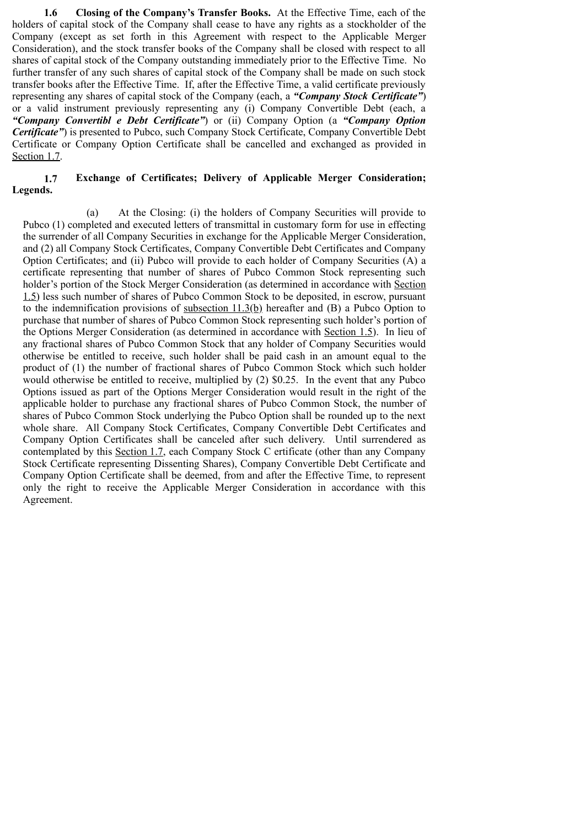**1.6 Closing of the Company's Transfer Books.** At the Effective Time, each of the holders of capital stock of the Company shall cease to have any rights as a stockholder of the Company (except as set forth in this Agreement with respect to the Applicable Merger Consideration), and the stock transfer books of the Company shall be closed with respect to all shares of capital stock of the Company outstanding immediately prior to the Effective Time. No further transfer of any such shares of capital stock of the Company shall be made on such stock transfer books after the Effective Time. If, after the Effective Time, a valid certificate previously representing any shares of capital stock of the Company (each, a *"Company Stock Certificate"*) or a valid instrument previously representing any (i) Company Convertible Debt (each, a *"Company Convertibl e Debt Certificate"*) or (ii) Company Option (a *"Company Option Certificate"*) is presented to Pubco, such Company Stock Certificate, Company Convertible Debt Certificate or Company Option Certificate shall be cancelled and exchanged as provided in Section 1.7.

## **1.7 Exchange of Certificates; Delivery of Applicable Merger Consideration; Legends.**

(a) At the Closing: (i) the holders of Company Securities will provide to Pubco (1) completed and executed letters of transmittal in customary form for use in effecting the surrender of all Company Securities in exchange for the Applicable Merger Consideration, and (2) all Company Stock Certificates, Company Convertible Debt Certificates and Company Option Certificates; and (ii) Pubco will provide to each holder of Company Securities (A) a certificate representing that number of shares of Pubco Common Stock representing such holder's portion of the Stock Merger Consideration (as determined in accordance with Section 1.5) less such number of shares of Pubco Common Stock to be deposited, in escrow, pursuant to the indemnification provisions of subsection 11.3(b) hereafter and (B) a Pubco Option to purchase that number of shares of Pubco Common Stock representing such holder's portion of the Options Merger Consideration (as determined in accordance with Section 1.5). In lieu of any fractional shares of Pubco Common Stock that any holder of Company Securities would otherwise be entitled to receive, such holder shall be paid cash in an amount equal to the product of (1) the number of fractional shares of Pubco Common Stock which such holder would otherwise be entitled to receive, multiplied by (2) \$0.25. In the event that any Pubco Options issued as part of the Options Merger Consideration would result in the right of the applicable holder to purchase any fractional shares of Pubco Common Stock, the number of shares of Pubco Common Stock underlying the Pubco Option shall be rounded up to the next whole share. All Company Stock Certificates, Company Convertible Debt Certificates and Company Option Certificates shall be canceled after such delivery. Until surrendered as contemplated by this Section 1.7, each Company Stock C ertificate (other than any Company Stock Certificate representing Dissenting Shares), Company Convertible Debt Certificate and Company Option Certificate shall be deemed, from and after the Effective Time, to represent only the right to receive the Applicable Merger Consideration in accordance with this Agreement.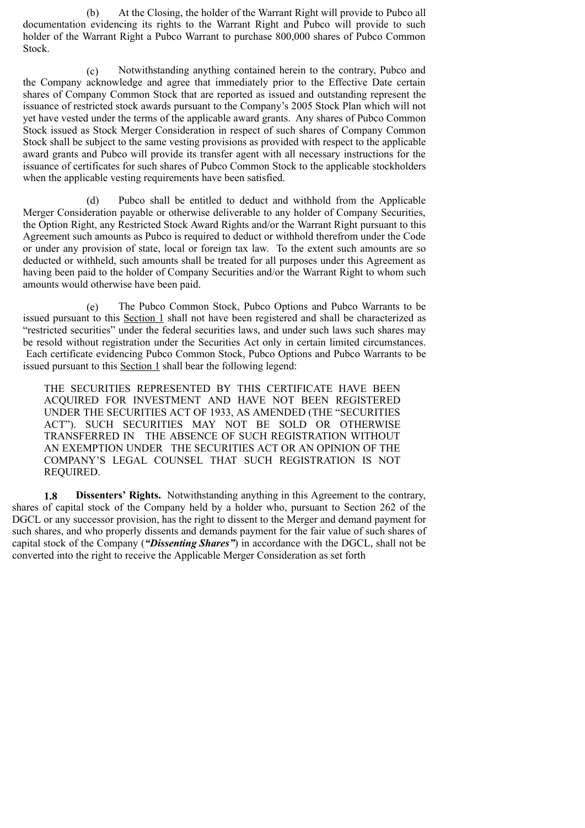(b) At the Closing, the holder of the Warrant Right will provide to Pubco all documentation evidencing its rights to the Warrant Right and Pubco will provide to such holder of the Warrant Right a Pubco Warrant to purchase 800,000 shares of Pubco Common Stock.

(c) Notwithstanding anything contained herein to the contrary, Pubco and the Company acknowledge and agree that immediately prior to the Effective Date certain shares of Company Common Stock that are reported as issued and outstanding represent the issuance of restricted stock awards pursuant to the Company's 2005 Stock Plan which will not yet have vested under the terms of the applicable award grants. Any shares of Pubco Common Stock issued as Stock Merger Consideration in respect of such shares of Company Common Stock shall be subject to the same vesting provisions as provided with respect to the applicable award grants and Pubco will provide its transfer agent with all necessary instructions for the issuance of certificates for such shares of Pubco Common Stock to the applicable stockholders when the applicable vesting requirements have been satisfied.

(d) Pubco shall be entitled to deduct and withhold from the Applicable Merger Consideration payable or otherwise deliverable to any holder of Company Securities, the Option Right, any Restricted Stock Award Rights and/or the Warrant Right pursuant to this Agreement such amounts as Pubco is required to deduct or withhold therefrom under the Code or under any provision of state, local or foreign tax law. To the extent such amounts are so deducted or withheld, such amounts shall be treated for all purposes under this Agreement as having been paid to the holder of Company Securities and/or the Warrant Right to whom such amounts would otherwise have been paid.

(e) The Pubco Common Stock, Pubco Options and Pubco Warrants to be issued pursuant to this Section 1 shall not have been registered and shall be characterized as "restricted securities" under the federal securities laws, and under such laws such shares may be resold without registration under the Securities Act only in certain limited circumstances. Each certificate evidencing Pubco Common Stock, Pubco Options and Pubco Warrants to be issued pursuant to this Section 1 shall bear the following legend:

THE SECURITIES REPRESENTED BY THIS CERTIFICATE HAVE BEEN ACQUIRED FOR INVESTMENT AND HAVE NOT BEEN REGISTERED UNDER THE SECURITIES ACT OF 1933, AS AMENDED (THE "SECURITIES ACT"). SUCH SECURITIES MAY NOT BE SOLD OR OTHERWISE TRANSFERRED IN THE ABSENCE OF SUCH REGISTRATION WITHOUT AN EXEMPTION UNDER THE SECURITIES ACT OR AN OPINION OF THE COMPANY'S LEGAL COUNSEL THAT SUCH REGISTRATION IS NOT REQUIRED.

**1.8 Dissenters' Rights.** Notwithstanding anything in this Agreement to the contrary, shares of capital stock of the Company held by a holder who, pursuant to Section 262 of the DGCL or any successor provision, has the right to dissent to the Merger and demand payment for such shares, and who properly dissents and demands payment for the fair value of such shares of capital stock of the Company (*"Dissenting Shares"*) in accordance with the DGCL, shall not be converted into the right to receive the Applicable Merger Consideration as set forth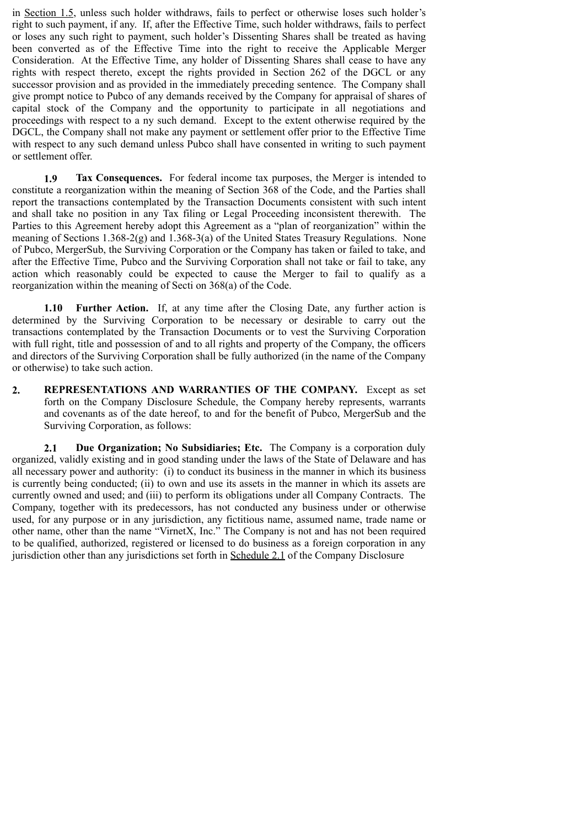in Section 1.5, unless such holder withdraws, fails to perfect or otherwise loses such holder's right to such payment, if any. If, after the Effective Time, such holder withdraws, fails to perfect or loses any such right to payment, such holder's Dissenting Shares shall be treated as having been converted as of the Effective Time into the right to receive the Applicable Merger Consideration. At the Effective Time, any holder of Dissenting Shares shall cease to have any rights with respect thereto, except the rights provided in Section 262 of the DGCL or any successor provision and as provided in the immediately preceding sentence. The Company shall give prompt notice to Pubco of any demands received by the Company for appraisal of shares of capital stock of the Company and the opportunity to participate in all negotiations and proceedings with respect to a ny such demand. Except to the extent otherwise required by the DGCL, the Company shall not make any payment or settlement offer prior to the Effective Time with respect to any such demand unless Pubco shall have consented in writing to such payment or settlement offer.

**1.9 Tax Consequences.** For federal income tax purposes, the Merger is intended to constitute a reorganization within the meaning of Section 368 of the Code, and the Parties shall report the transactions contemplated by the Transaction Documents consistent with such intent and shall take no position in any Tax filing or Legal Proceeding inconsistent therewith. The Parties to this Agreement hereby adopt this Agreement as a "plan of reorganization" within the meaning of Sections 1.368-2(g) and 1.368-3(a) of the United States Treasury Regulations. None of Pubco, MergerSub, the Surviving Corporation or the Company has taken or failed to take, and after the Effective Time, Pubco and the Surviving Corporation shall not take or fail to take, any action which reasonably could be expected to cause the Merger to fail to qualify as a reorganization within the meaning of Secti on 368(a) of the Code.

**1.10 Further Action.** If, at any time after the Closing Date, any further action is determined by the Surviving Corporation to be necessary or desirable to carry out the transactions contemplated by the Transaction Documents or to vest the Surviving Corporation with full right, title and possession of and to all rights and property of the Company, the officers and directors of the Surviving Corporation shall be fully authorized (in the name of the Company or otherwise) to take such action.

**2. REPRESENTATIONS AND WARRANTIES OF THE COMPANY.** Except as set forth on the Company Disclosure Schedule, the Company hereby represents, warrants and covenants as of the date hereof, to and for the benefit of Pubco, MergerSub and the Surviving Corporation, as follows:

**2.1 Due Organization; No Subsidiaries; Etc.** The Company is a corporation duly organized, validly existing and in good standing under the laws of the State of Delaware and has all necessary power and authority: (i) to conduct its business in the manner in which its business is currently being conducted; (ii) to own and use its assets in the manner in which its assets are currently owned and used; and (iii) to perform its obligations under all Company Contracts. The Company, together with its predecessors, has not conducted any business under or otherwise used, for any purpose or in any jurisdiction, any fictitious name, assumed name, trade name or other name, other than the name "VirnetX, Inc." The Company is not and has not been required to be qualified, authorized, registered or licensed to do business as a foreign corporation in any jurisdiction other than any jurisdictions set forth in Schedule 2.1 of the Company Disclosure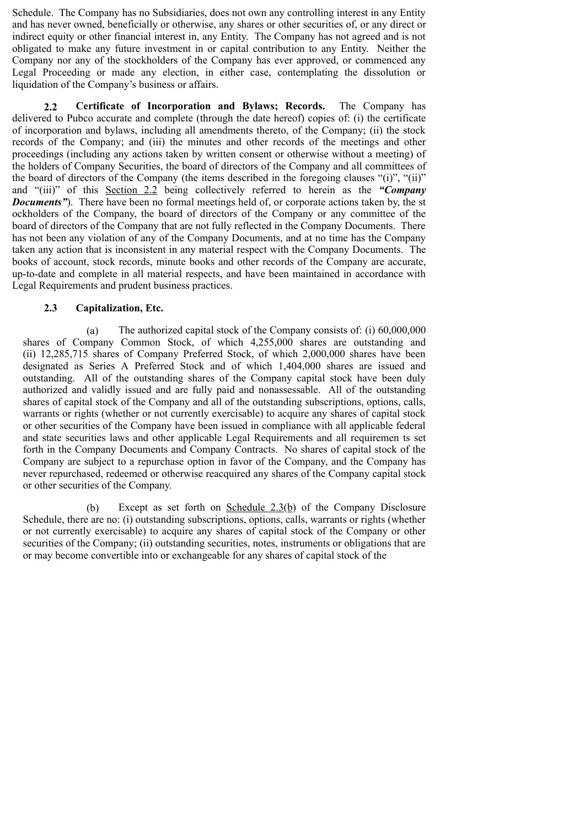Schedule. The Company has no Subsidiaries, does not own any controlling interest in any Entity and has never owned, beneficially or otherwise, any shares or other securities of, or any direct or indirect equity or other financial interest in, any Entity. The Company has not agreed and is not obligated to make any future investment in or capital contribution to any Entity. Neither the Company nor any of the stockholders of the Company has ever approved, or commenced any Legal Proceeding or made any election, in either case, contemplating the dissolution or liquidation of the Company's business or affairs.

**2.2 Certificate of Incorporation and Bylaws; Records.** The Company has delivered to Pubco accurate and complete (through the date hereof) copies of: (i) the certificate of incorporation and bylaws, including all amendments thereto, of the Company; (ii) the stock records of the Company; and (iii) the minutes and other records of the meetings and other proceedings (including any actions taken by written consent or otherwise without a meeting) of the holders of Company Securities, the board of directors of the Company and all committees of the board of directors of the Company (the items described in the foregoing clauses "(i)", "(ii)" and "(iii)" of this Section 2.2 being collectively referred to herein as the *"Company Documents*"). There have been no formal meetings held of, or corporate actions taken by, the st ockholders of the Company, the board of directors of the Company or any committee of the board of directors of the Company that are not fully reflected in the Company Documents. There has not been any violation of any of the Company Documents, and at no time has the Company taken any action that is inconsistent in any material respect with the Company Documents. The books of account, stock records, minute books and other records of the Company are accurate, up-to-date and complete in all material respects, and have been maintained in accordance with Legal Requirements and prudent business practices.

#### **2.3 Capitalization, Etc.**

(a) The authorized capital stock of the Company consists of: (i) 60,000,000 shares of Company Common Stock, of which 4,255,000 shares are outstanding and (ii) 12,285,715 shares of Company Preferred Stock, of which 2,000,000 shares have been designated as Series A Preferred Stock and of which 1,404,000 shares are issued and outstanding. All of the outstanding shares of the Company capital stock have been duly authorized and validly issued and are fully paid and nonassessable. All of the outstanding shares of capital stock of the Company and all of the outstanding subscriptions, options, calls, warrants or rights (whether or not currently exercisable) to acquire any shares of capital stock or other securities of the Company have been issued in compliance with all applicable federal and state securities laws and other applicable Legal Requirements and all requiremen ts set forth in the Company Documents and Company Contracts. No shares of capital stock of the Company are subject to a repurchase option in favor of the Company, and the Company has never repurchased, redeemed or otherwise reacquired any shares of the Company capital stock or other securities of the Company.

(b) Except as set forth on Schedule  $2.3(b)$  of the Company Disclosure Schedule, there are no: (i) outstanding subscriptions, options, calls, warrants or rights (whether or not currently exercisable) to acquire any shares of capital stock of the Company or other securities of the Company; (ii) outstanding securities, notes, instruments or obligations that are or may become convertible into or exchangeable for any shares of capital stock of the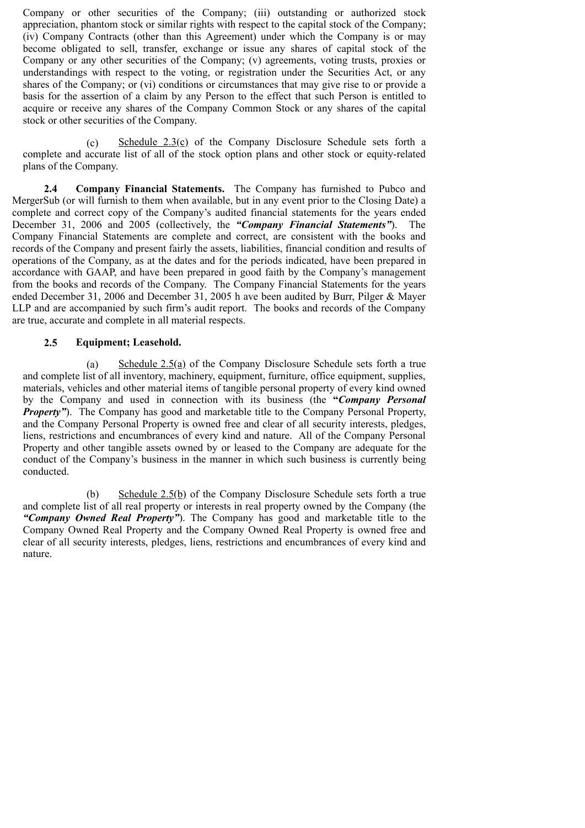Company or other securities of the Company; (iii) outstanding or authorized stock appreciation, phantom stock or similar rights with respect to the capital stock of the Company; (iv) Company Contracts (other than this Agreement) under which the Company is or may become obligated to sell, transfer, exchange or issue any shares of capital stock of the Company or any other securities of the Company; (v) agreements, voting trusts, proxies or understandings with respect to the voting, or registration under the Securities Act, or any shares of the Company; or (vi) conditions or circumstances that may give rise to or provide a basis for the assertion of a claim by any Person to the effect that such Person is entitled to acquire or receive any shares of the Company Common Stock or any shares of the capital stock or other securities of the Company.

(c) Schedule  $2.3(c)$  of the Company Disclosure Schedule sets forth a complete and accurate list of all of the stock option plans and other stock or equity-related plans of the Company.

**2.4 Company Financial Statements.** The Company has furnished to Pubco and MergerSub (or will furnish to them when available, but in any event prior to the Closing Date) a complete and correct copy of the Company's audited financial statements for the years ended December 31, 2006 and 2005 (collectively, the *"Company Financial Statements"*). The Company Financial Statements are complete and correct, are consistent with the books and records of the Company and present fairly the assets, liabilities, financial condition and results of operations of the Company, as at the dates and for the periods indicated, have been prepared in accordance with GAAP, and have been prepared in good faith by the Company's management from the books and records of the Company. The Company Financial Statements for the years ended December 31, 2006 and December 31, 2005 h ave been audited by Burr, Pilger & Mayer LLP and are accompanied by such firm's audit report. The books and records of the Company are true, accurate and complete in all material respects.

#### **2.5 Equipment; Leasehold.**

(a) Schedule 2.5(a) of the Company Disclosure Schedule sets forth a true and complete list of all inventory, machinery, equipment, furniture, office equipment, supplies, materials, vehicles and other material items of tangible personal property of every kind owned by the Company and used in connection with its business (the **"***Company Personal Property"*). The Company has good and marketable title to the Company Personal Property, and the Company Personal Property is owned free and clear of all security interests, pledges, liens, restrictions and encumbrances of every kind and nature. All of the Company Personal Property and other tangible assets owned by or leased to the Company are adequate for the conduct of the Company's business in the manner in which such business is currently being conducted.

(b) Schedule 2.5(b) of the Company Disclosure Schedule sets forth a true and complete list of all real property or interests in real property owned by the Company (the *"Company Owned Real Property"*). The Company has good and marketable title to the Company Owned Real Property and the Company Owned Real Property is owned free and clear of all security interests, pledges, liens, restrictions and encumbrances of every kind and nature.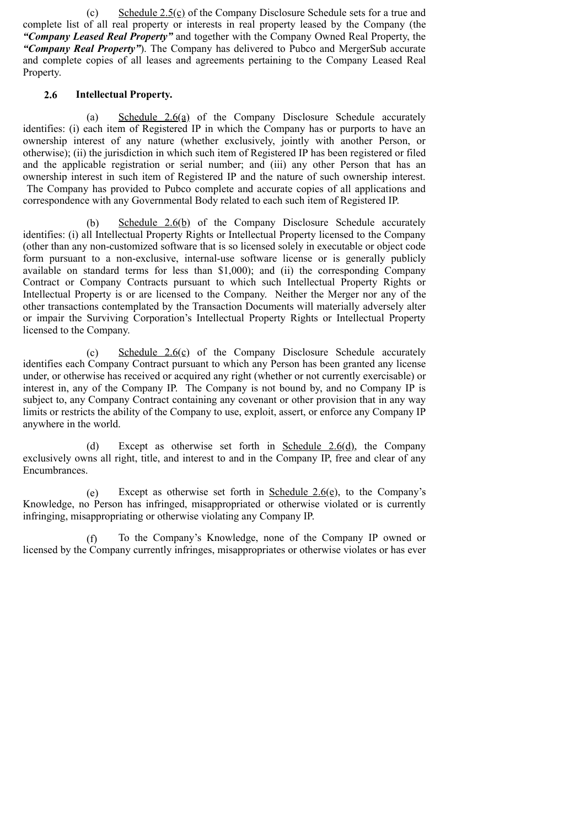(c) Schedule  $2.5(c)$  of the Company Disclosure Schedule sets for a true and complete list of all real property or interests in real property leased by the Company (the *"Company Leased Real Property"* and together with the Company Owned Real Property, the *"Company Real Property"*). The Company has delivered to Pubco and MergerSub accurate and complete copies of all leases and agreements pertaining to the Company Leased Real Property.

## **2.6 Intellectual Property.**

(a) Schedule 2.6(a) of the Company Disclosure Schedule accurately identifies: (i) each item of Registered IP in which the Company has or purports to have an ownership interest of any nature (whether exclusively, jointly with another Person, or otherwise); (ii) the jurisdiction in which such item of Registered IP has been registered or filed and the applicable registration or serial number; and (iii) any other Person that has an ownership interest in such item of Registered IP and the nature of such ownership interest. The Company has provided to Pubco complete and accurate copies of all applications and correspondence with any Governmental Body related to each such item of Registered IP.

(b) Schedule 2.6(b) of the Company Disclosure Schedule accurately identifies: (i) all Intellectual Property Rights or Intellectual Property licensed to the Company (other than any non-customized software that is so licensed solely in executable or object code form pursuant to a non-exclusive, internal-use software license or is generally publicly available on standard terms for less than \$1,000); and (ii) the corresponding Company Contract or Company Contracts pursuant to which such Intellectual Property Rights or Intellectual Property is or are licensed to the Company. Neither the Merger nor any of the other transactions contemplated by the Transaction Documents will materially adversely alter or impair the Surviving Corporation's Intellectual Property Rights or Intellectual Property licensed to the Company.

(c) Schedule  $2.6(c)$  of the Company Disclosure Schedule accurately identifies each Company Contract pursuant to which any Person has been granted any license under, or otherwise has received or acquired any right (whether or not currently exercisable) or interest in, any of the Company IP. The Company is not bound by, and no Company IP is subject to, any Company Contract containing any covenant or other provision that in any way limits or restricts the ability of the Company to use, exploit, assert, or enforce any Company IP anywhere in the world.

(d) Except as otherwise set forth in Schedule  $2.6(d)$ , the Company exclusively owns all right, title, and interest to and in the Company IP, free and clear of any Encumbrances.

(e) Except as otherwise set forth in Schedule  $2.6(e)$ , to the Company's Knowledge, no Person has infringed, misappropriated or otherwise violated or is currently infringing, misappropriating or otherwise violating any Company IP.

(f) To the Company's Knowledge, none of the Company IP owned or licensed by the Company currently infringes, misappropriates or otherwise violates or has ever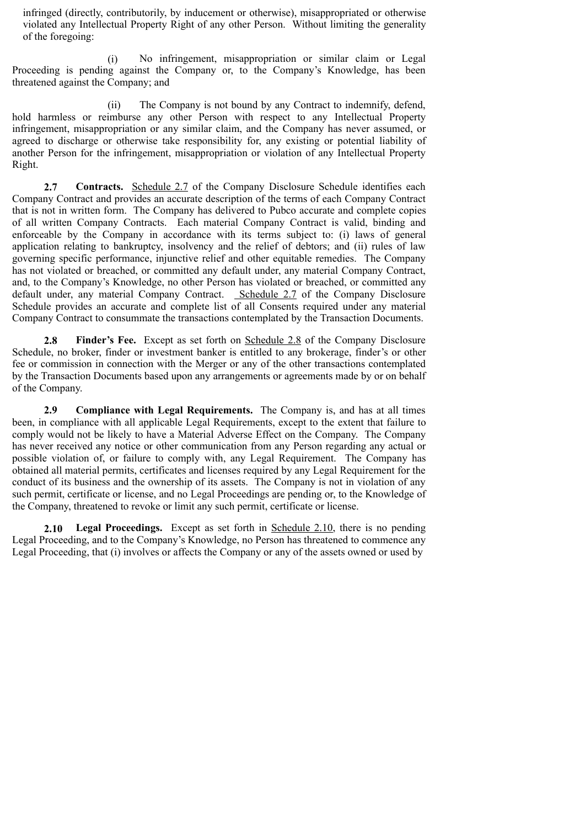infringed (directly, contributorily, by inducement or otherwise), misappropriated or otherwise violated any Intellectual Property Right of any other Person. Without limiting the generality of the foregoing:

(i) No infringement, misappropriation or similar claim or Legal Proceeding is pending against the Company or, to the Company's Knowledge, has been threatened against the Company; and

(ii) The Company is not bound by any Contract to indemnify, defend, hold harmless or reimburse any other Person with respect to any Intellectual Property infringement, misappropriation or any similar claim, and the Company has never assumed, or agreed to discharge or otherwise take responsibility for, any existing or potential liability of another Person for the infringement, misappropriation or violation of any Intellectual Property Right.

**2.7 Contracts.** Schedule 2.7 of the Company Disclosure Schedule identifies each Company Contract and provides an accurate description of the terms of each Company Contract that is not in written form. The Company has delivered to Pubco accurate and complete copies of all written Company Contracts. Each material Company Contract is valid, binding and enforceable by the Company in accordance with its terms subject to: (i) laws of general application relating to bankruptcy, insolvency and the relief of debtors; and (ii) rules of law governing specific performance, injunctive relief and other equitable remedies. The Company has not violated or breached, or committed any default under, any material Company Contract, and, to the Company's Knowledge, no other Person has violated or breached, or committed any default under, any material Company Contract. Schedule 2.7 of the Company Disclosure Schedule provides an accurate and complete list of all Consents required under any material Company Contract to consummate the transactions contemplated by the Transaction Documents.

**2.8 Finder's Fee.** Except as set forth on Schedule 2.8 of the Company Disclosure Schedule, no broker, finder or investment banker is entitled to any brokerage, finder's or other fee or commission in connection with the Merger or any of the other transactions contemplated by the Transaction Documents based upon any arrangements or agreements made by or on behalf of the Company.

**2.9 Compliance with Legal Requirements.** The Company is, and has at all times been, in compliance with all applicable Legal Requirements, except to the extent that failure to comply would not be likely to have a Material Adverse Effect on the Company. The Company has never received any notice or other communication from any Person regarding any actual or possible violation of, or failure to comply with, any Legal Requirement. The Company has obtained all material permits, certificates and licenses required by any Legal Requirement for the conduct of its business and the ownership of its assets. The Company is not in violation of any such permit, certificate or license, and no Legal Proceedings are pending or, to the Knowledge of the Company, threatened to revoke or limit any such permit, certificate or license.

**2.10 Legal Proceedings.** Except as set forth in Schedule 2.10, there is no pending Legal Proceeding, and to the Company's Knowledge, no Person has threatened to commence any Legal Proceeding, that (i) involves or affects the Company or any of the assets owned or used by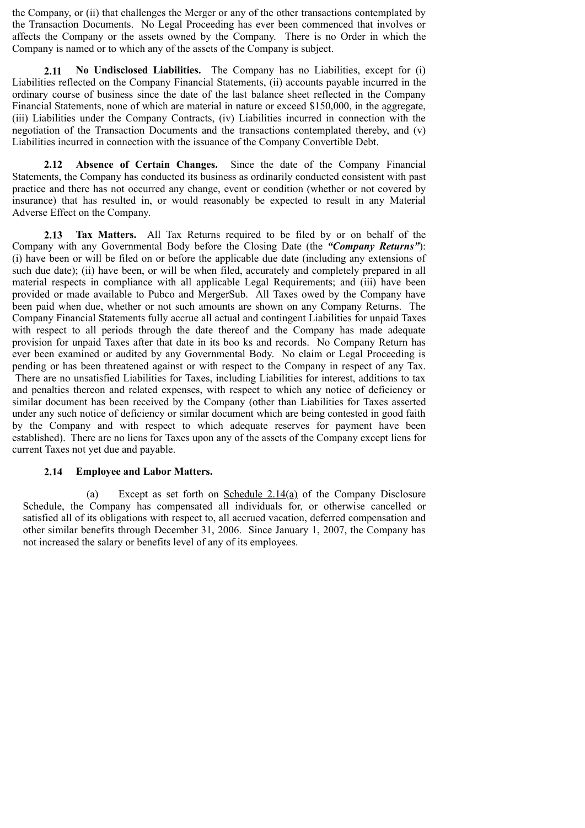the Company, or (ii) that challenges the Merger or any of the other transactions contemplated by the Transaction Documents. No Legal Proceeding has ever been commenced that involves or affects the Company or the assets owned by the Company. There is no Order in which the Company is named or to which any of the assets of the Company is subject.

**2.11 No Undisclosed Liabilities.** The Company has no Liabilities, except for (i) Liabilities reflected on the Company Financial Statements, (ii) accounts payable incurred in the ordinary course of business since the date of the last balance sheet reflected in the Company Financial Statements, none of which are material in nature or exceed \$150,000, in the aggregate, (iii) Liabilities under the Company Contracts, (iv) Liabilities incurred in connection with the negotiation of the Transaction Documents and the transactions contemplated thereby, and (v) Liabilities incurred in connection with the issuance of the Company Convertible Debt.

**2.12 Absence of Certain Changes.** Since the date of the Company Financial Statements, the Company has conducted its business as ordinarily conducted consistent with past practice and there has not occurred any change, event or condition (whether or not covered by insurance) that has resulted in, or would reasonably be expected to result in any Material Adverse Effect on the Company.

**2.13 Tax Matters.** All Tax Returns required to be filed by or on behalf of the Company with any Governmental Body before the Closing Date (the *"Company Returns"*): (i) have been or will be filed on or before the applicable due date (including any extensions of such due date); (ii) have been, or will be when filed, accurately and completely prepared in all material respects in compliance with all applicable Legal Requirements; and (iii) have been provided or made available to Pubco and MergerSub. All Taxes owed by the Company have been paid when due, whether or not such amounts are shown on any Company Returns. The Company Financial Statements fully accrue all actual and contingent Liabilities for unpaid Taxes with respect to all periods through the date thereof and the Company has made adequate provision for unpaid Taxes after that date in its boo ks and records. No Company Return has ever been examined or audited by any Governmental Body. No claim or Legal Proceeding is pending or has been threatened against or with respect to the Company in respect of any Tax. There are no unsatisfied Liabilities for Taxes, including Liabilities for interest, additions to tax

and penalties thereon and related expenses, with respect to which any notice of deficiency or similar document has been received by the Company (other than Liabilities for Taxes asserted under any such notice of deficiency or similar document which are being contested in good faith by the Company and with respect to which adequate reserves for payment have been established). There are no liens for Taxes upon any of the assets of the Company except liens for current Taxes not yet due and payable.

#### **2.14 Employee and Labor Matters.**

(a) Except as set forth on Schedule 2.14(a) of the Company Disclosure Schedule, the Company has compensated all individuals for, or otherwise cancelled or satisfied all of its obligations with respect to, all accrued vacation, deferred compensation and other similar benefits through December 31, 2006. Since January 1, 2007, the Company has not increased the salary or benefits level of any of its employees.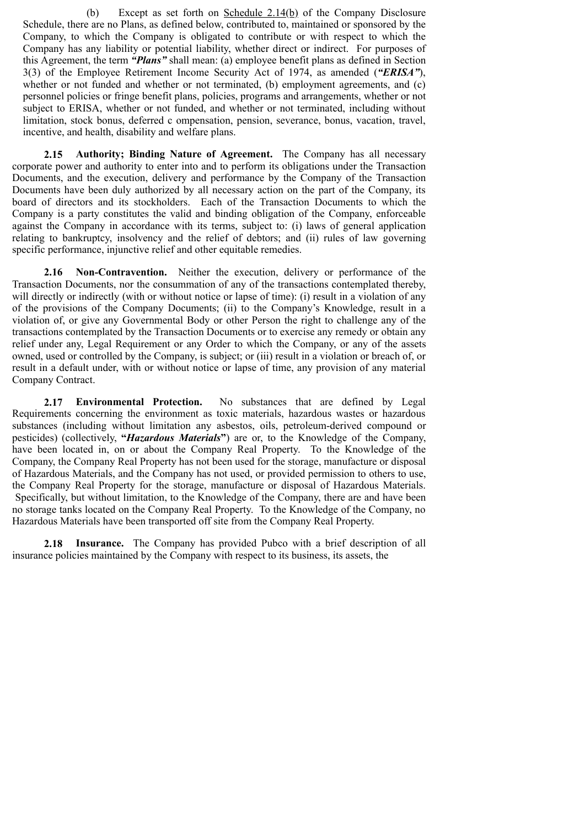(b) Except as set forth on Schedule  $2.14(b)$  of the Company Disclosure Schedule, there are no Plans, as defined below, contributed to, maintained or sponsored by the Company, to which the Company is obligated to contribute or with respect to which the Company has any liability or potential liability, whether direct or indirect. For purposes of this Agreement, the term *"Plans"* shall mean: (a) employee benefit plans as defined in Section 3(3) of the Employee Retirement Income Security Act of 1974, as amended (*"ERISA"*), whether or not funded and whether or not terminated, (b) employment agreements, and (c) personnel policies or fringe benefit plans, policies, programs and arrangements, whether or not subject to ERISA, whether or not funded, and whether or not terminated, including without limitation, stock bonus, deferred c ompensation, pension, severance, bonus, vacation, travel, incentive, and health, disability and welfare plans.

**2.15 Authority; Binding Nature of Agreement.** The Company has all necessary corporate power and authority to enter into and to perform its obligations under the Transaction Documents, and the execution, delivery and performance by the Company of the Transaction Documents have been duly authorized by all necessary action on the part of the Company, its board of directors and its stockholders. Each of the Transaction Documents to which the Company is a party constitutes the valid and binding obligation of the Company, enforceable against the Company in accordance with its terms, subject to: (i) laws of general application relating to bankruptcy, insolvency and the relief of debtors; and (ii) rules of law governing specific performance, injunctive relief and other equitable remedies.

**2.16 Non-Contravention.** Neither the execution, delivery or performance of the Transaction Documents, nor the consummation of any of the transactions contemplated thereby, will directly or indirectly (with or without notice or lapse of time): (i) result in a violation of any of the provisions of the Company Documents; (ii) to the Company's Knowledge, result in a violation of, or give any Governmental Body or other Person the right to challenge any of the transactions contemplated by the Transaction Documents or to exercise any remedy or obtain any relief under any, Legal Requirement or any Order to which the Company, or any of the assets owned, used or controlled by the Company, is subject; or (iii) result in a violation or breach of, or result in a default under, with or without notice or lapse of time, any provision of any material Company Contract.

**2.17 Environmental Protection.** No substances that are defined by Legal Requirements concerning the environment as toxic materials, hazardous wastes or hazardous substances (including without limitation any asbestos, oils, petroleum-derived compound or pesticides) (collectively, **"***Hazardous Materials***"**) are or, to the Knowledge of the Company, have been located in, on or about the Company Real Property. To the Knowledge of the Company, the Company Real Property has not been used for the storage, manufacture or disposal of Hazardous Materials, and the Company has not used, or provided permission to others to use, the Company Real Property for the storage, manufacture or disposal of Hazardous Materials. Specifically, but without limitation, to the Knowledge of the Company, there are and have been no storage tanks located on the Company Real Property. To the Knowledge of the Company, no Hazardous Materials have been transported off site from the Company Real Property.

**2.18 Insurance.** The Company has provided Pubco with a brief description of all insurance policies maintained by the Company with respect to its business, its assets, the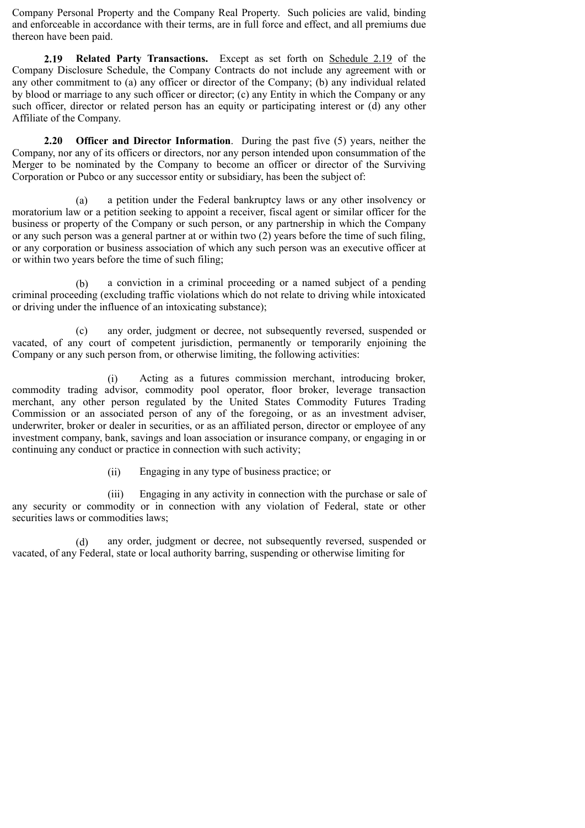Company Personal Property and the Company Real Property. Such policies are valid, binding and enforceable in accordance with their terms, are in full force and effect, and all premiums due thereon have been paid.

**2.19 Related Party Transactions.** Except as set forth on Schedule 2.19 of the Company Disclosure Schedule, the Company Contracts do not include any agreement with or any other commitment to (a) any officer or director of the Company; (b) any individual related by blood or marriage to any such officer or director; (c) any Entity in which the Company or any such officer, director or related person has an equity or participating interest or (d) any other Affiliate of the Company.

**2.20 Officer and Director Information**. During the past five (5) years, neither the Company, nor any of its officers or directors, nor any person intended upon consummation of the Merger to be nominated by the Company to become an officer or director of the Surviving Corporation or Pubco or any successor entity or subsidiary, has been the subject of:

(a) a petition under the Federal bankruptcy laws or any other insolvency or moratorium law or a petition seeking to appoint a receiver, fiscal agent or similar officer for the business or property of the Company or such person, or any partnership in which the Company or any such person was a general partner at or within two (2) years before the time of such filing, or any corporation or business association of which any such person was an executive officer at or within two years before the time of such filing;

(b) a conviction in a criminal proceeding or a named subject of a pending criminal proceeding (excluding traffic violations which do not relate to driving while intoxicated or driving under the influence of an intoxicating substance);

(c) any order, judgment or decree, not subsequently reversed, suspended or vacated, of any court of competent jurisdiction, permanently or temporarily enjoining the Company or any such person from, or otherwise limiting, the following activities:

(i) Acting as a futures commission merchant, introducing broker, commodity trading advisor, commodity pool operator, floor broker, leverage transaction merchant, any other person regulated by the United States Commodity Futures Trading Commission or an associated person of any of the foregoing, or as an investment adviser, underwriter, broker or dealer in securities, or as an affiliated person, director or employee of any investment company, bank, savings and loan association or insurance company, or engaging in or continuing any conduct or practice in connection with such activity;

(ii) Engaging in any type of business practice; or

(iii) Engaging in any activity in connection with the purchase or sale of any security or commodity or in connection with any violation of Federal, state or other securities laws or commodities laws;

(d) any order, judgment or decree, not subsequently reversed, suspended or vacated, of any Federal, state or local authority barring, suspending or otherwise limiting for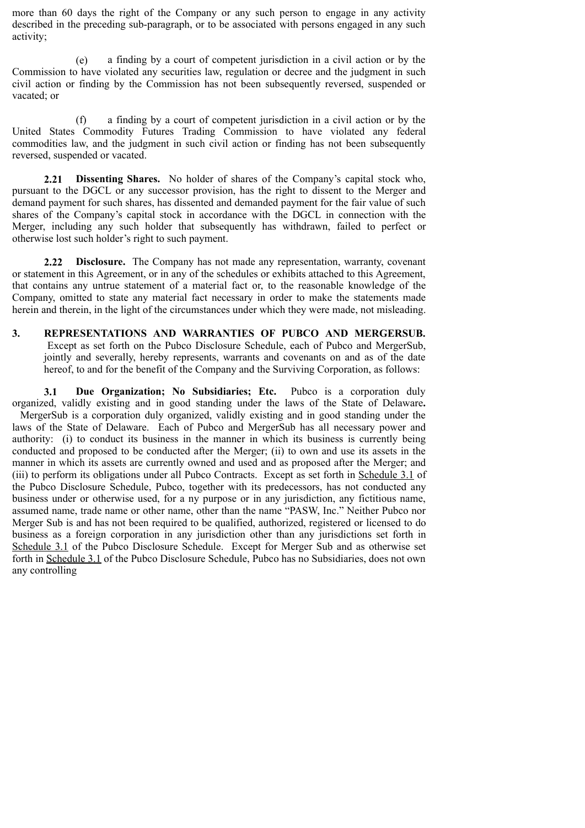more than 60 days the right of the Company or any such person to engage in any activity described in the preceding sub-paragraph, or to be associated with persons engaged in any such activity;

(e) a finding by a court of competent jurisdiction in a civil action or by the Commission to have violated any securities law, regulation or decree and the judgment in such civil action or finding by the Commission has not been subsequently reversed, suspended or vacated; or

(f) a finding by a court of competent jurisdiction in a civil action or by the United States Commodity Futures Trading Commission to have violated any federal commodities law, and the judgment in such civil action or finding has not been subsequently reversed, suspended or vacated.

**2.21 Dissenting Shares.** No holder of shares of the Company's capital stock who, pursuant to the DGCL or any successor provision, has the right to dissent to the Merger and demand payment for such shares, has dissented and demanded payment for the fair value of such shares of the Company's capital stock in accordance with the DGCL in connection with the Merger, including any such holder that subsequently has withdrawn, failed to perfect or otherwise lost such holder's right to such payment.

**2.22 Disclosure.** The Company has not made any representation, warranty, covenant or statement in this Agreement, or in any of the schedules or exhibits attached to this Agreement, that contains any untrue statement of a material fact or, to the reasonable knowledge of the Company, omitted to state any material fact necessary in order to make the statements made herein and therein, in the light of the circumstances under which they were made, not misleading.

**3. REPRESENTATIONS AND WARRANTIES OF PUBCO AND MERGERSUB.** Except as set forth on the Pubco Disclosure Schedule, each of Pubco and MergerSub, jointly and severally, hereby represents, warrants and covenants on and as of the date hereof, to and for the benefit of the Company and the Surviving Corporation, as follows:

**3.1 Due Organization; No Subsidiaries; Etc.** Pubco is a corporation duly organized, validly existing and in good standing under the laws of the State of Delaware**.** MergerSub is a corporation duly organized, validly existing and in good standing under the laws of the State of Delaware. Each of Pubco and MergerSub has all necessary power and authority: (i) to conduct its business in the manner in which its business is currently being conducted and proposed to be conducted after the Merger; (ii) to own and use its assets in the manner in which its assets are currently owned and used and as proposed after the Merger; and (iii) to perform its obligations under all Pubco Contracts. Except as set forth in Schedule 3.1 of the Pubco Disclosure Schedule, Pubco, together with its predecessors, has not conducted any business under or otherwise used, for a ny purpose or in any jurisdiction, any fictitious name, assumed name, trade name or other name, other than the name "PASW, Inc." Neither Pubco nor Merger Sub is and has not been required to be qualified, authorized, registered or licensed to do business as a foreign corporation in any jurisdiction other than any jurisdictions set forth in Schedule 3.1 of the Pubco Disclosure Schedule. Except for Merger Sub and as otherwise set forth in Schedule 3.1 of the Pubco Disclosure Schedule, Pubco has no Subsidiaries, does not own any controlling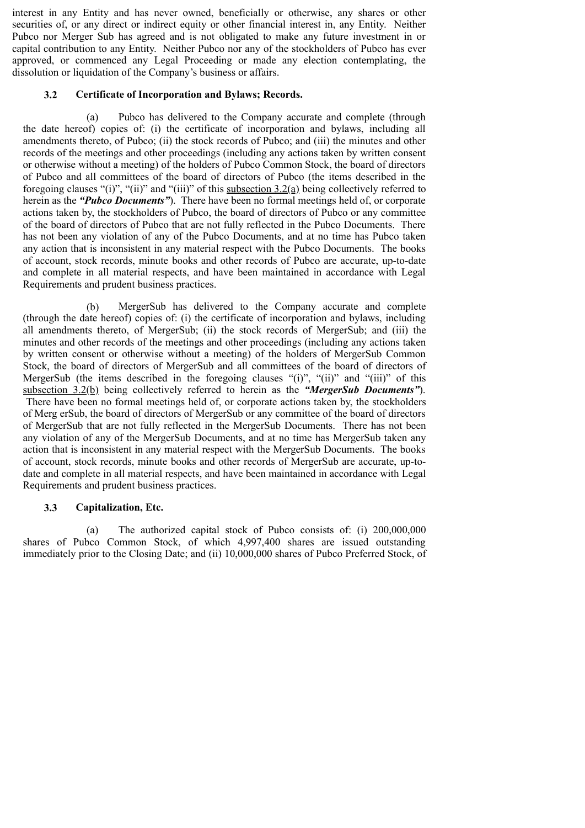interest in any Entity and has never owned, beneficially or otherwise, any shares or other securities of, or any direct or indirect equity or other financial interest in, any Entity. Neither Pubco nor Merger Sub has agreed and is not obligated to make any future investment in or capital contribution to any Entity. Neither Pubco nor any of the stockholders of Pubco has ever approved, or commenced any Legal Proceeding or made any election contemplating, the dissolution or liquidation of the Company's business or affairs.

#### **3.2 Certificate of Incorporation and Bylaws; Records.**

(a) Pubco has delivered to the Company accurate and complete (through the date hereof) copies of: (i) the certificate of incorporation and bylaws, including all amendments thereto, of Pubco; (ii) the stock records of Pubco; and (iii) the minutes and other records of the meetings and other proceedings (including any actions taken by written consent or otherwise without a meeting) of the holders of Pubco Common Stock, the board of directors of Pubco and all committees of the board of directors of Pubco (the items described in the foregoing clauses "(i)", "(ii)" and "(iii)" of this subsection  $3.2(a)$  being collectively referred to herein as the *"Pubco Documents"*). There have been no formal meetings held of, or corporate actions taken by, the stockholders of Pubco, the board of directors of Pubco or any committee of the board of directors of Pubco that are not fully reflected in the Pubco Documents. There has not been any violation of any of the Pubco Documents, and at no time has Pubco taken any action that is inconsistent in any material respect with the Pubco Documents. The books of account, stock records, minute books and other records of Pubco are accurate, up-to-date and complete in all material respects, and have been maintained in accordance with Legal Requirements and prudent business practices.

(b) MergerSub has delivered to the Company accurate and complete (through the date hereof) copies of: (i) the certificate of incorporation and bylaws, including all amendments thereto, of MergerSub; (ii) the stock records of MergerSub; and (iii) the minutes and other records of the meetings and other proceedings (including any actions taken by written consent or otherwise without a meeting) of the holders of MergerSub Common Stock, the board of directors of MergerSub and all committees of the board of directors of MergerSub (the items described in the foregoing clauses "(i)", "(ii)" and "(iii)" of this subsection 3.2(b) being collectively referred to herein as the *"MergerSub Documents"*). There have been no formal meetings held of, or corporate actions taken by, the stockholders of Merg erSub, the board of directors of MergerSub or any committee of the board of directors of MergerSub that are not fully reflected in the MergerSub Documents. There has not been any violation of any of the MergerSub Documents, and at no time has MergerSub taken any action that is inconsistent in any material respect with the MergerSub Documents. The books of account, stock records, minute books and other records of MergerSub are accurate, up-todate and complete in all material respects, and have been maintained in accordance with Legal Requirements and prudent business practices.

#### **3.3 Capitalization, Etc.**

(a) The authorized capital stock of Pubco consists of: (i) 200,000,000 shares of Pubco Common Stock, of which 4,997,400 shares are issued outstanding immediately prior to the Closing Date; and (ii) 10,000,000 shares of Pubco Preferred Stock, of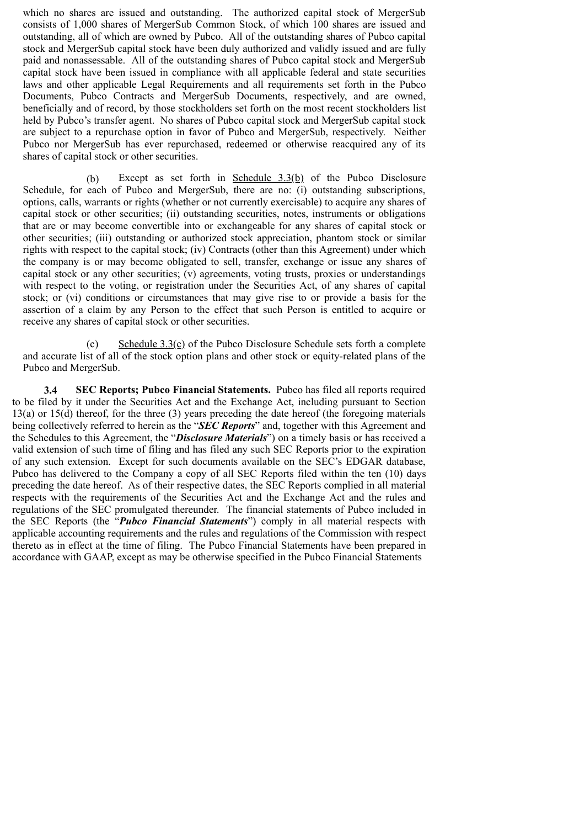which no shares are issued and outstanding. The authorized capital stock of MergerSub consists of 1,000 shares of MergerSub Common Stock, of which 100 shares are issued and outstanding, all of which are owned by Pubco. All of the outstanding shares of Pubco capital stock and MergerSub capital stock have been duly authorized and validly issued and are fully paid and nonassessable. All of the outstanding shares of Pubco capital stock and MergerSub capital stock have been issued in compliance with all applicable federal and state securities laws and other applicable Legal Requirements and all requirements set forth in the Pubco Documents, Pubco Contracts and MergerSub Documents, respectively, and are owned, beneficially and of record, by those stockholders set forth on the most recent stockholders list held by Pubco's transfer agent. No shares of Pubco capital stock and MergerSub capital stock are subject to a repurchase option in favor of Pubco and MergerSub, respectively. Neither Pubco nor MergerSub has ever repurchased, redeemed or otherwise reacquired any of its shares of capital stock or other securities.

(b) Except as set forth in Schedule 3.3(b) of the Pubco Disclosure Schedule, for each of Pubco and MergerSub, there are no: (i) outstanding subscriptions, options, calls, warrants or rights (whether or not currently exercisable) to acquire any shares of capital stock or other securities; (ii) outstanding securities, notes, instruments or obligations that are or may become convertible into or exchangeable for any shares of capital stock or other securities; (iii) outstanding or authorized stock appreciation, phantom stock or similar rights with respect to the capital stock; (iv) Contracts (other than this Agreement) under which the company is or may become obligated to sell, transfer, exchange or issue any shares of capital stock or any other securities; (v) agreements, voting trusts, proxies or understandings with respect to the voting, or registration under the Securities Act, of any shares of capital stock; or (vi) conditions or circumstances that may give rise to or provide a basis for the assertion of a claim by any Person to the effect that such Person is entitled to acquire or receive any shares of capital stock or other securities.

(c) Schedule 3.3(c) of the Pubco Disclosure Schedule sets forth a complete and accurate list of all of the stock option plans and other stock or equity-related plans of the Pubco and MergerSub.

**3.4 SEC Reports; Pubco Financial Statements.** Pubco has filed all reports required to be filed by it under the Securities Act and the Exchange Act, including pursuant to Section 13(a) or 15(d) thereof, for the three (3) years preceding the date hereof (the foregoing materials being collectively referred to herein as the "*SEC Reports*" and, together with this Agreement and the Schedules to this Agreement, the "*Disclosure Materials*") on a timely basis or has received a valid extension of such time of filing and has filed any such SEC Reports prior to the expiration of any such extension. Except for such documents available on the SEC's EDGAR database, Pubco has delivered to the Company a copy of all SEC Reports filed within the ten (10) days preceding the date hereof. As of their respective dates, the SEC Reports complied in all material respects with the requirements of the Securities Act and the Exchange Act and the rules and regulations of the SEC promulgated thereunder. The financial statements of Pubco included in the SEC Reports (the "*Pubco Financial Statements*") comply in all material respects with applicable accounting requirements and the rules and regulations of the Commission with respect thereto as in effect at the time of filing. The Pubco Financial Statements have been prepared in accordance with GAAP, except as may be otherwise specified in the Pubco Financial Statements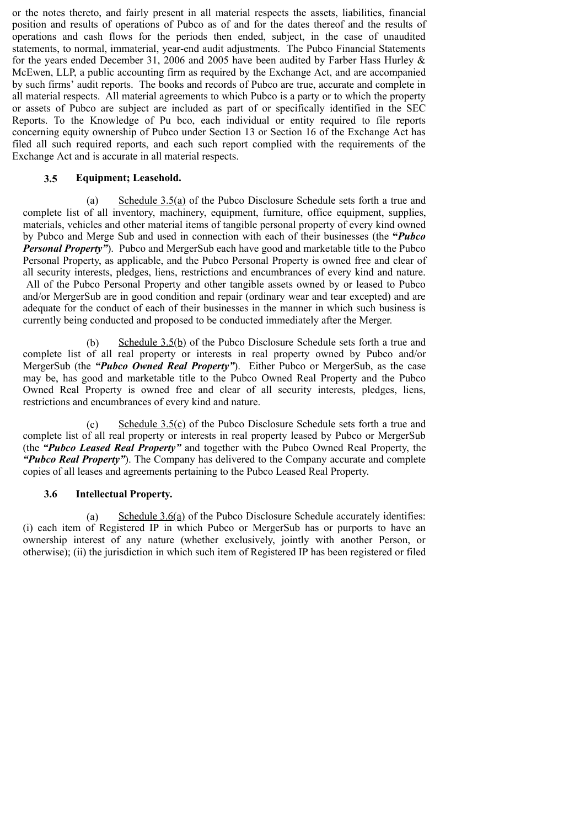or the notes thereto, and fairly present in all material respects the assets, liabilities, financial position and results of operations of Pubco as of and for the dates thereof and the results of operations and cash flows for the periods then ended, subject, in the case of unaudited statements, to normal, immaterial, year-end audit adjustments. The Pubco Financial Statements for the years ended December 31, 2006 and 2005 have been audited by Farber Hass Hurley & McEwen, LLP, a public accounting firm as required by the Exchange Act, and are accompanied by such firms' audit reports. The books and records of Pubco are true, accurate and complete in all material respects. All material agreements to which Pubco is a party or to which the property or assets of Pubco are subject are included as part of or specifically identified in the SEC Reports. To the Knowledge of Pu bco, each individual or entity required to file reports concerning equity ownership of Pubco under Section 13 or Section 16 of the Exchange Act has filed all such required reports, and each such report complied with the requirements of the Exchange Act and is accurate in all material respects.

#### **3.5 Equipment; Leasehold.**

(a) Schedule 3.5(a) of the Pubco Disclosure Schedule sets forth a true and complete list of all inventory, machinery, equipment, furniture, office equipment, supplies, materials, vehicles and other material items of tangible personal property of every kind owned by Pubco and Merge Sub and used in connection with each of their businesses (the **"***Pubco Personal Property"*). Pubco and MergerSub each have good and marketable title to the Pubco Personal Property, as applicable, and the Pubco Personal Property is owned free and clear of all security interests, pledges, liens, restrictions and encumbrances of every kind and nature. All of the Pubco Personal Property and other tangible assets owned by or leased to Pubco and/or MergerSub are in good condition and repair (ordinary wear and tear excepted) and are adequate for the conduct of each of their businesses in the manner in which such business is currently being conducted and proposed to be conducted immediately after the Merger.

(b) Schedule  $3.5(b)$  of the Pubco Disclosure Schedule sets forth a true and complete list of all real property or interests in real property owned by Pubco and/or MergerSub (the *"Pubco Owned Real Property"*). Either Pubco or MergerSub, as the case may be, has good and marketable title to the Pubco Owned Real Property and the Pubco Owned Real Property is owned free and clear of all security interests, pledges, liens, restrictions and encumbrances of every kind and nature.

(c) Schedule 3.5(c) of the Pubco Disclosure Schedule sets forth a true and complete list of all real property or interests in real property leased by Pubco or MergerSub (the *"Pubco Leased Real Property"* and together with the Pubco Owned Real Property, the *"Pubco Real Property"*). The Company has delivered to the Company accurate and complete copies of all leases and agreements pertaining to the Pubco Leased Real Property.

#### **3.6 Intellectual Property.**

(a) Schedule 3.6(a) of the Pubco Disclosure Schedule accurately identifies: (i) each item of Registered IP in which Pubco or MergerSub has or purports to have an ownership interest of any nature (whether exclusively, jointly with another Person, or otherwise); (ii) the jurisdiction in which such item of Registered IP has been registered or filed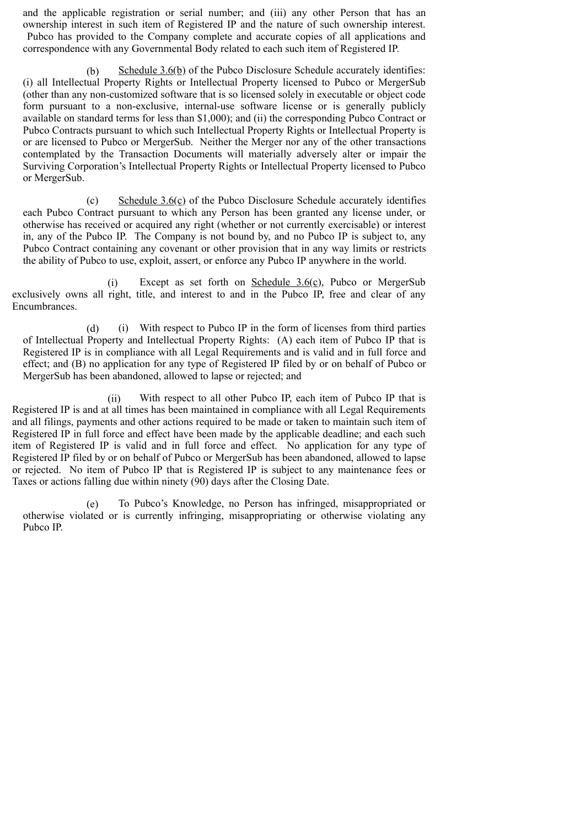and the applicable registration or serial number; and (iii) any other Person that has an ownership interest in such item of Registered IP and the nature of such ownership interest. Pubco has provided to the Company complete and accurate copies of all applications and correspondence with any Governmental Body related to each such item of Registered IP.

(b) Schedule 3.6(b) of the Pubco Disclosure Schedule accurately identifies: (i) all Intellectual Property Rights or Intellectual Property licensed to Pubco or MergerSub (other than any non-customized software that is so licensed solely in executable or object code form pursuant to a non-exclusive, internal-use software license or is generally publicly available on standard terms for less than \$1,000); and (ii) the corresponding Pubco Contract or Pubco Contracts pursuant to which such Intellectual Property Rights or Intellectual Property is or are licensed to Pubco or MergerSub. Neither the Merger nor any of the other transactions contemplated by the Transaction Documents will materially adversely alter or impair the Surviving Corporation's Intellectual Property Rights or Intellectual Property licensed to Pubco or MergerSub.

(c) Schedule 3.6(c) of the Pubco Disclosure Schedule accurately identifies each Pubco Contract pursuant to which any Person has been granted any license under, or otherwise has received or acquired any right (whether or not currently exercisable) or interest in, any of the Pubco IP. The Company is not bound by, and no Pubco IP is subject to, any Pubco Contract containing any covenant or other provision that in any way limits or restricts the ability of Pubco to use, exploit, assert, or enforce any Pubco IP anywhere in the world.

(i) Except as set forth on Schedule  $3.6(c)$ , Pubco or MergerSub exclusively owns all right, title, and interest to and in the Pubco IP, free and clear of any Encumbrances.

(d) (i) With respect to Pubco IP in the form of licenses from third parties of Intellectual Property and Intellectual Property Rights: (A) each item of Pubco IP that is Registered IP is in compliance with all Legal Requirements and is valid and in full force and effect; and (B) no application for any type of Registered IP filed by or on behalf of Pubco or MergerSub has been abandoned, allowed to lapse or rejected; and

(ii) With respect to all other Pubco IP, each item of Pubco IP that is Registered IP is and at all times has been maintained in compliance with all Legal Requirements and all filings, payments and other actions required to be made or taken to maintain such item of Registered IP in full force and effect have been made by the applicable deadline; and each such item of Registered IP is valid and in full force and effect. No application for any type of Registered IP filed by or on behalf of Pubco or MergerSub has been abandoned, allowed to lapse or rejected. No item of Pubco IP that is Registered IP is subject to any maintenance fees or Taxes or actions falling due within ninety (90) days after the Closing Date.

(e) To Pubco's Knowledge, no Person has infringed, misappropriated or otherwise violated or is currently infringing, misappropriating or otherwise violating any Pubco IP.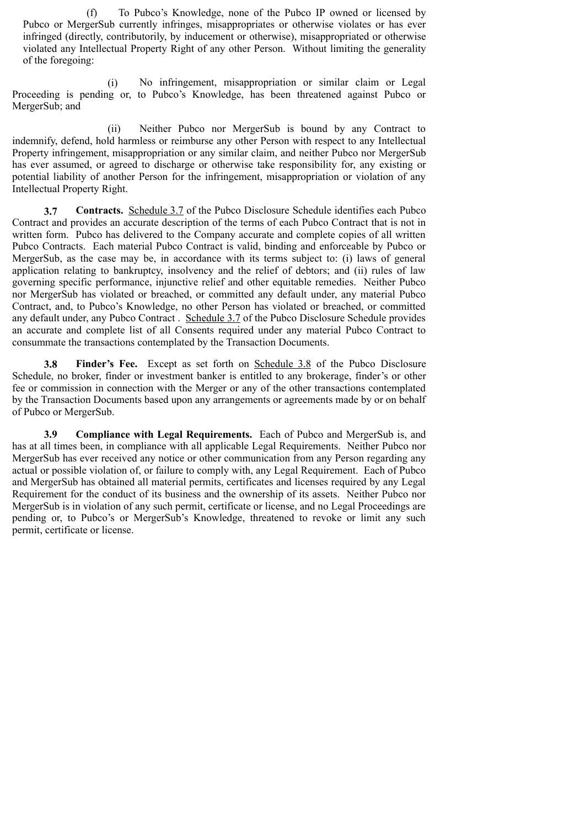(f) To Pubco's Knowledge, none of the Pubco IP owned or licensed by Pubco or MergerSub currently infringes, misappropriates or otherwise violates or has ever infringed (directly, contributorily, by inducement or otherwise), misappropriated or otherwise violated any Intellectual Property Right of any other Person. Without limiting the generality of the foregoing:

(i) No infringement, misappropriation or similar claim or Legal Proceeding is pending or, to Pubco's Knowledge, has been threatened against Pubco or MergerSub; and

(ii) Neither Pubco nor MergerSub is bound by any Contract to indemnify, defend, hold harmless or reimburse any other Person with respect to any Intellectual Property infringement, misappropriation or any similar claim, and neither Pubco nor MergerSub has ever assumed, or agreed to discharge or otherwise take responsibility for, any existing or potential liability of another Person for the infringement, misappropriation or violation of any Intellectual Property Right.

**3.7 Contracts.** Schedule 3.7 of the Pubco Disclosure Schedule identifies each Pubco Contract and provides an accurate description of the terms of each Pubco Contract that is not in written form. Pubco has delivered to the Company accurate and complete copies of all written Pubco Contracts. Each material Pubco Contract is valid, binding and enforceable by Pubco or MergerSub, as the case may be, in accordance with its terms subject to: (i) laws of general application relating to bankruptcy, insolvency and the relief of debtors; and (ii) rules of law governing specific performance, injunctive relief and other equitable remedies. Neither Pubco nor MergerSub has violated or breached, or committed any default under, any material Pubco Contract, and, to Pubco's Knowledge, no other Person has violated or breached, or committed any default under, any Pubco Contract . Schedule 3.7 of the Pubco Disclosure Schedule provides an accurate and complete list of all Consents required under any material Pubco Contract to consummate the transactions contemplated by the Transaction Documents.

**3.8 Finder's Fee.** Except as set forth on Schedule 3.8 of the Pubco Disclosure Schedule, no broker, finder or investment banker is entitled to any brokerage, finder's or other fee or commission in connection with the Merger or any of the other transactions contemplated by the Transaction Documents based upon any arrangements or agreements made by or on behalf of Pubco or MergerSub.

**3.9 Compliance with Legal Requirements.** Each of Pubco and MergerSub is, and has at all times been, in compliance with all applicable Legal Requirements. Neither Pubco nor MergerSub has ever received any notice or other communication from any Person regarding any actual or possible violation of, or failure to comply with, any Legal Requirement. Each of Pubco and MergerSub has obtained all material permits, certificates and licenses required by any Legal Requirement for the conduct of its business and the ownership of its assets. Neither Pubco nor MergerSub is in violation of any such permit, certificate or license, and no Legal Proceedings are pending or, to Pubco's or MergerSub's Knowledge, threatened to revoke or limit any such permit, certificate or license.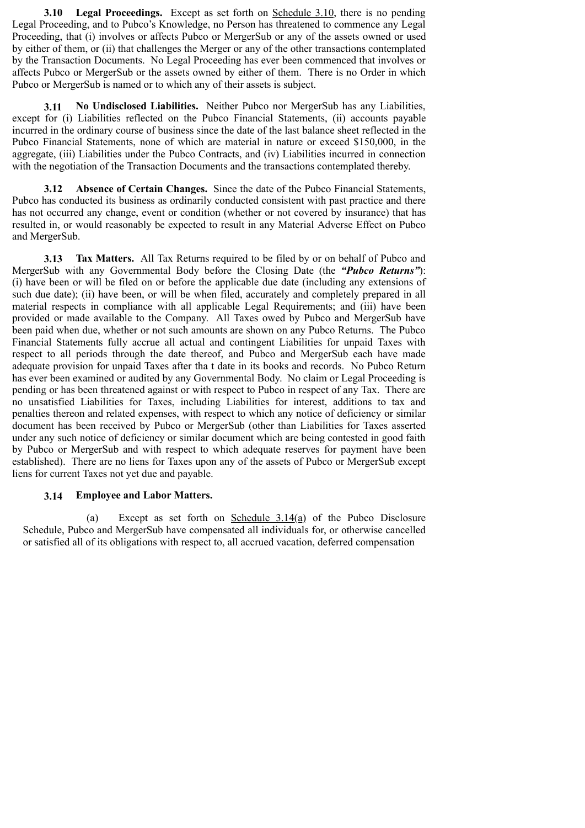**3.10 Legal Proceedings.** Except as set forth on Schedule 3.10, there is no pending Legal Proceeding, and to Pubco's Knowledge, no Person has threatened to commence any Legal Proceeding, that (i) involves or affects Pubco or MergerSub or any of the assets owned or used by either of them, or (ii) that challenges the Merger or any of the other transactions contemplated by the Transaction Documents. No Legal Proceeding has ever been commenced that involves or affects Pubco or MergerSub or the assets owned by either of them. There is no Order in which Pubco or MergerSub is named or to which any of their assets is subject.

**3.11 No Undisclosed Liabilities.** Neither Pubco nor MergerSub has any Liabilities, except for (i) Liabilities reflected on the Pubco Financial Statements, (ii) accounts payable incurred in the ordinary course of business since the date of the last balance sheet reflected in the Pubco Financial Statements, none of which are material in nature or exceed \$150,000, in the aggregate, (iii) Liabilities under the Pubco Contracts, and (iv) Liabilities incurred in connection with the negotiation of the Transaction Documents and the transactions contemplated thereby.

**3.12 Absence of Certain Changes.** Since the date of the Pubco Financial Statements, Pubco has conducted its business as ordinarily conducted consistent with past practice and there has not occurred any change, event or condition (whether or not covered by insurance) that has resulted in, or would reasonably be expected to result in any Material Adverse Effect on Pubco and MergerSub.

**3.13 Tax Matters.** All Tax Returns required to be filed by or on behalf of Pubco and MergerSub with any Governmental Body before the Closing Date (the *"Pubco Returns"*): (i) have been or will be filed on or before the applicable due date (including any extensions of such due date); (ii) have been, or will be when filed, accurately and completely prepared in all material respects in compliance with all applicable Legal Requirements; and (iii) have been provided or made available to the Company. All Taxes owed by Pubco and MergerSub have been paid when due, whether or not such amounts are shown on any Pubco Returns. The Pubco Financial Statements fully accrue all actual and contingent Liabilities for unpaid Taxes with respect to all periods through the date thereof, and Pubco and MergerSub each have made adequate provision for unpaid Taxes after tha t date in its books and records. No Pubco Return has ever been examined or audited by any Governmental Body. No claim or Legal Proceeding is pending or has been threatened against or with respect to Pubco in respect of any Tax. There are no unsatisfied Liabilities for Taxes, including Liabilities for interest, additions to tax and penalties thereon and related expenses, with respect to which any notice of deficiency or similar document has been received by Pubco or MergerSub (other than Liabilities for Taxes asserted under any such notice of deficiency or similar document which are being contested in good faith by Pubco or MergerSub and with respect to which adequate reserves for payment have been established). There are no liens for Taxes upon any of the assets of Pubco or MergerSub except liens for current Taxes not yet due and payable.

#### **3.14 Employee and Labor Matters.**

(a) Except as set forth on <u>Schedule  $3.14(a)$ </u> of the Pubco Disclosure Schedule, Pubco and MergerSub have compensated all individuals for, or otherwise cancelled or satisfied all of its obligations with respect to, all accrued vacation, deferred compensation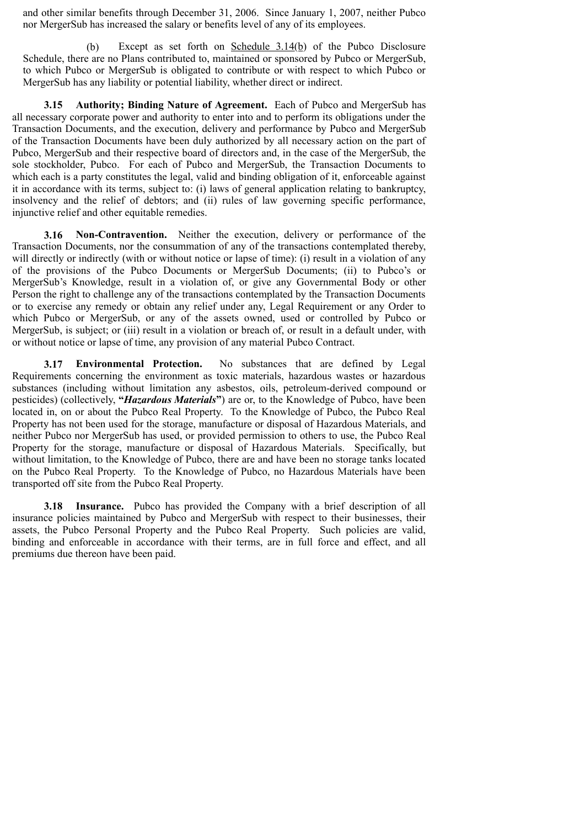and other similar benefits through December 31, 2006. Since January 1, 2007, neither Pubco nor MergerSub has increased the salary or benefits level of any of its employees.

(b) Except as set forth on Schedule 3.14(b) of the Pubco Disclosure Schedule, there are no Plans contributed to, maintained or sponsored by Pubco or MergerSub, to which Pubco or MergerSub is obligated to contribute or with respect to which Pubco or MergerSub has any liability or potential liability, whether direct or indirect.

**3.15 Authority; Binding Nature of Agreement.** Each of Pubco and MergerSub has all necessary corporate power and authority to enter into and to perform its obligations under the Transaction Documents, and the execution, delivery and performance by Pubco and MergerSub of the Transaction Documents have been duly authorized by all necessary action on the part of Pubco, MergerSub and their respective board of directors and, in the case of the MergerSub, the sole stockholder, Pubco. For each of Pubco and MergerSub, the Transaction Documents to which each is a party constitutes the legal, valid and binding obligation of it, enforceable against it in accordance with its terms, subject to: (i) laws of general application relating to bankruptcy, insolvency and the relief of debtors; and (ii) rules of law governing specific performance, injunctive relief and other equitable remedies.

**3.16 Non-Contravention.** Neither the execution, delivery or performance of the Transaction Documents, nor the consummation of any of the transactions contemplated thereby, will directly or indirectly (with or without notice or lapse of time): (i) result in a violation of any of the provisions of the Pubco Documents or MergerSub Documents; (ii) to Pubco's or MergerSub's Knowledge, result in a violation of, or give any Governmental Body or other Person the right to challenge any of the transactions contemplated by the Transaction Documents or to exercise any remedy or obtain any relief under any, Legal Requirement or any Order to which Pubco or MergerSub, or any of the assets owned, used or controlled by Pubco or MergerSub, is subject; or (iii) result in a violation or breach of, or result in a default under, with or without notice or lapse of time, any provision of any material Pubco Contract.

**3.17 Environmental Protection.** No substances that are defined by Legal Requirements concerning the environment as toxic materials, hazardous wastes or hazardous substances (including without limitation any asbestos, oils, petroleum-derived compound or pesticides) (collectively, **"***Hazardous Materials***"**) are or, to the Knowledge of Pubco, have been located in, on or about the Pubco Real Property. To the Knowledge of Pubco, the Pubco Real Property has not been used for the storage, manufacture or disposal of Hazardous Materials, and neither Pubco nor MergerSub has used, or provided permission to others to use, the Pubco Real Property for the storage, manufacture or disposal of Hazardous Materials. Specifically, but without limitation, to the Knowledge of Pubco, there are and have been no storage tanks located on the Pubco Real Property. To the Knowledge of Pubco, no Hazardous Materials have been transported off site from the Pubco Real Property.

**3.18 Insurance.** Pubco has provided the Company with a brief description of all insurance policies maintained by Pubco and MergerSub with respect to their businesses, their assets, the Pubco Personal Property and the Pubco Real Property. Such policies are valid, binding and enforceable in accordance with their terms, are in full force and effect, and all premiums due thereon have been paid.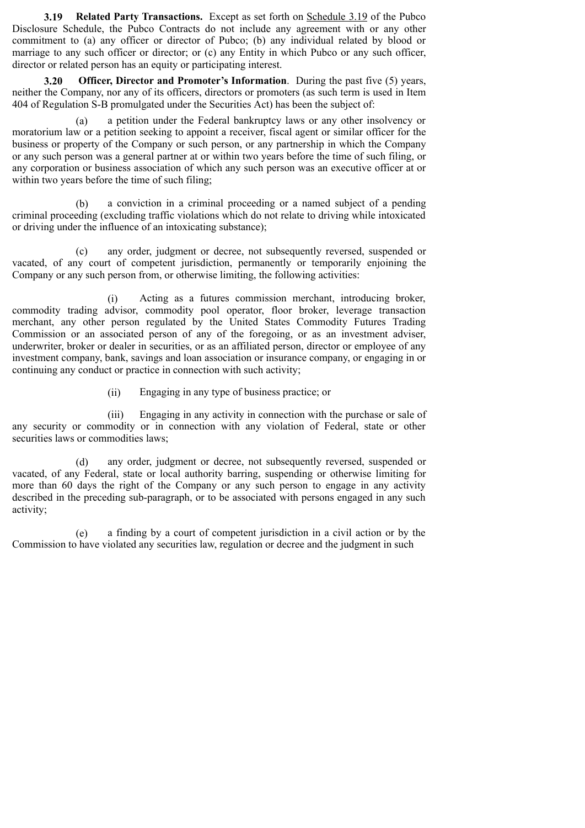**3.19 Related Party Transactions.** Except as set forth on Schedule 3.19 of the Pubco Disclosure Schedule, the Pubco Contracts do not include any agreement with or any other commitment to (a) any officer or director of Pubco; (b) any individual related by blood or marriage to any such officer or director; or (c) any Entity in which Pubco or any such officer, director or related person has an equity or participating interest.

**3.20 Officer, Director and Promoter's Information**. During the past five (5) years, neither the Company, nor any of its officers, directors or promoters (as such term is used in Item 404 of Regulation S-B promulgated under the Securities Act) has been the subject of:

(a) a petition under the Federal bankruptcy laws or any other insolvency or moratorium law or a petition seeking to appoint a receiver, fiscal agent or similar officer for the business or property of the Company or such person, or any partnership in which the Company or any such person was a general partner at or within two years before the time of such filing, or any corporation or business association of which any such person was an executive officer at or within two years before the time of such filing;

(b) a conviction in a criminal proceeding or a named subject of a pending criminal proceeding (excluding traffic violations which do not relate to driving while intoxicated or driving under the influence of an intoxicating substance);

(c) any order, judgment or decree, not subsequently reversed, suspended or vacated, of any court of competent jurisdiction, permanently or temporarily enjoining the Company or any such person from, or otherwise limiting, the following activities:

(i) Acting as a futures commission merchant, introducing broker, commodity trading advisor, commodity pool operator, floor broker, leverage transaction merchant, any other person regulated by the United States Commodity Futures Trading Commission or an associated person of any of the foregoing, or as an investment adviser, underwriter, broker or dealer in securities, or as an affiliated person, director or employee of any investment company, bank, savings and loan association or insurance company, or engaging in or continuing any conduct or practice in connection with such activity;

(ii) Engaging in any type of business practice; or

(iii) Engaging in any activity in connection with the purchase or sale of any security or commodity or in connection with any violation of Federal, state or other securities laws or commodities laws;

(d) any order, judgment or decree, not subsequently reversed, suspended or vacated, of any Federal, state or local authority barring, suspending or otherwise limiting for more than 60 days the right of the Company or any such person to engage in any activity described in the preceding sub-paragraph, or to be associated with persons engaged in any such activity;

(e) a finding by a court of competent jurisdiction in a civil action or by the Commission to have violated any securities law, regulation or decree and the judgment in such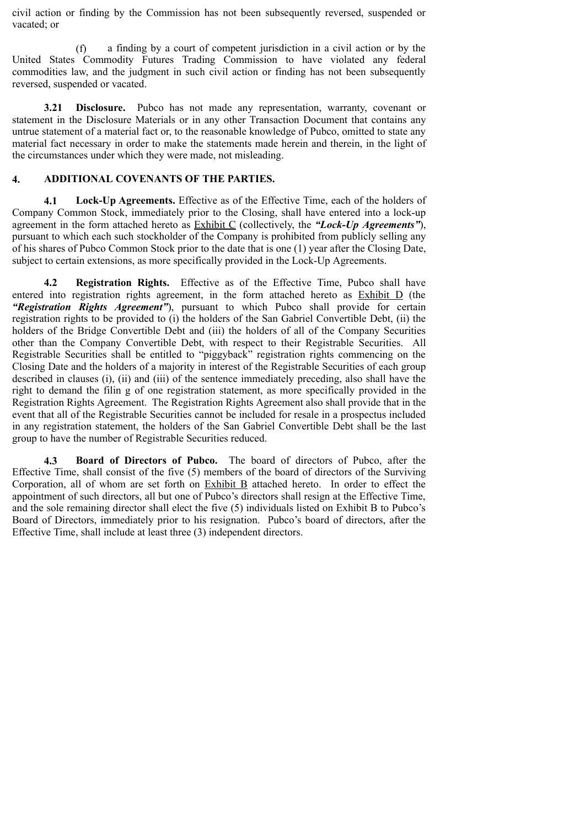civil action or finding by the Commission has not been subsequently reversed, suspended or vacated; or

(f) a finding by a court of competent jurisdiction in a civil action or by the United States Commodity Futures Trading Commission to have violated any federal commodities law, and the judgment in such civil action or finding has not been subsequently reversed, suspended or vacated.

**3.21 Disclosure.** Pubco has not made any representation, warranty, covenant or statement in the Disclosure Materials or in any other Transaction Document that contains any untrue statement of a material fact or, to the reasonable knowledge of Pubco, omitted to state any material fact necessary in order to make the statements made herein and therein, in the light of the circumstances under which they were made, not misleading.

## **4. ADDITIONAL COVENANTS OF THE PARTIES.**

**4.1 Lock-Up Agreements.** Effective as of the Effective Time, each of the holders of Company Common Stock, immediately prior to the Closing, shall have entered into a lock-up agreement in the form attached hereto as Exhibit C (collectively, the *"Lock-Up Agreements"*), pursuant to which each such stockholder of the Company is prohibited from publicly selling any of his shares of Pubco Common Stock prior to the date that is one (1) year after the Closing Date, subject to certain extensions, as more specifically provided in the Lock-Up Agreements.

**4.2 Registration Rights.** Effective as of the Effective Time, Pubco shall have entered into registration rights agreement, in the form attached hereto as **Exhibit D** (the *"Registration Rights Agreement"*), pursuant to which Pubco shall provide for certain registration rights to be provided to (i) the holders of the San Gabriel Convertible Debt, (ii) the holders of the Bridge Convertible Debt and (iii) the holders of all of the Company Securities other than the Company Convertible Debt, with respect to their Registrable Securities. All Registrable Securities shall be entitled to "piggyback" registration rights commencing on the Closing Date and the holders of a majority in interest of the Registrable Securities of each group described in clauses (i), (ii) and (iii) of the sentence immediately preceding, also shall have the right to demand the filin g of one registration statement, as more specifically provided in the Registration Rights Agreement. The Registration Rights Agreement also shall provide that in the event that all of the Registrable Securities cannot be included for resale in a prospectus included in any registration statement, the holders of the San Gabriel Convertible Debt shall be the last group to have the number of Registrable Securities reduced.

**4.3 Board of Directors of Pubco.** The board of directors of Pubco, after the Effective Time, shall consist of the five (5) members of the board of directors of the Surviving Corporation, all of whom are set forth on Exhibit B attached hereto. In order to effect the appointment of such directors, all but one of Pubco's directors shall resign at the Effective Time, and the sole remaining director shall elect the five (5) individuals listed on Exhibit B to Pubco's Board of Directors, immediately prior to his resignation. Pubco's board of directors, after the Effective Time, shall include at least three (3) independent directors.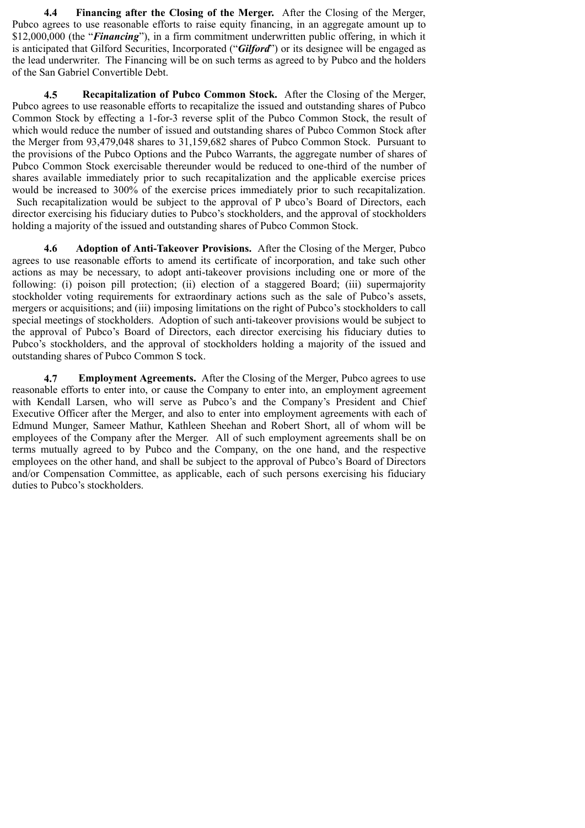**4.4 Financing after the Closing of the Merger.** After the Closing of the Merger, Pubco agrees to use reasonable efforts to raise equity financing, in an aggregate amount up to \$12,000,000 (the "*Financing*"), in a firm commitment underwritten public offering, in which it is anticipated that Gilford Securities, Incorporated ("*Gilford*") or its designee will be engaged as the lead underwriter. The Financing will be on such terms as agreed to by Pubco and the holders of the San Gabriel Convertible Debt.

**4.5 Recapitalization of Pubco Common Stock.** After the Closing of the Merger, Pubco agrees to use reasonable efforts to recapitalize the issued and outstanding shares of Pubco Common Stock by effecting a 1-for-3 reverse split of the Pubco Common Stock, the result of which would reduce the number of issued and outstanding shares of Pubco Common Stock after the Merger from 93,479,048 shares to 31,159,682 shares of Pubco Common Stock. Pursuant to the provisions of the Pubco Options and the Pubco Warrants, the aggregate number of shares of Pubco Common Stock exercisable thereunder would be reduced to one-third of the number of shares available immediately prior to such recapitalization and the applicable exercise prices would be increased to 300% of the exercise prices immediately prior to such recapitalization. Such recapitalization would be subject to the approval of P ubco's Board of Directors, each director exercising his fiduciary duties to Pubco's stockholders, and the approval of stockholders holding a majority of the issued and outstanding shares of Pubco Common Stock.

**4.6 Adoption of Anti-Takeover Provisions.** After the Closing of the Merger, Pubco agrees to use reasonable efforts to amend its certificate of incorporation, and take such other actions as may be necessary, to adopt anti-takeover provisions including one or more of the following: (i) poison pill protection; (ii) election of a staggered Board; (iii) supermajority stockholder voting requirements for extraordinary actions such as the sale of Pubco's assets, mergers or acquisitions; and (iii) imposing limitations on the right of Pubco's stockholders to call special meetings of stockholders. Adoption of such anti-takeover provisions would be subject to the approval of Pubco's Board of Directors, each director exercising his fiduciary duties to Pubco's stockholders, and the approval of stockholders holding a majority of the issued and outstanding shares of Pubco Common S tock.

**4.7 Employment Agreements.** After the Closing of the Merger, Pubco agrees to use reasonable efforts to enter into, or cause the Company to enter into, an employment agreement with Kendall Larsen, who will serve as Pubco's and the Company's President and Chief Executive Officer after the Merger, and also to enter into employment agreements with each of Edmund Munger, Sameer Mathur, Kathleen Sheehan and Robert Short, all of whom will be employees of the Company after the Merger. All of such employment agreements shall be on terms mutually agreed to by Pubco and the Company, on the one hand, and the respective employees on the other hand, and shall be subject to the approval of Pubco's Board of Directors and/or Compensation Committee, as applicable, each of such persons exercising his fiduciary duties to Pubco's stockholders.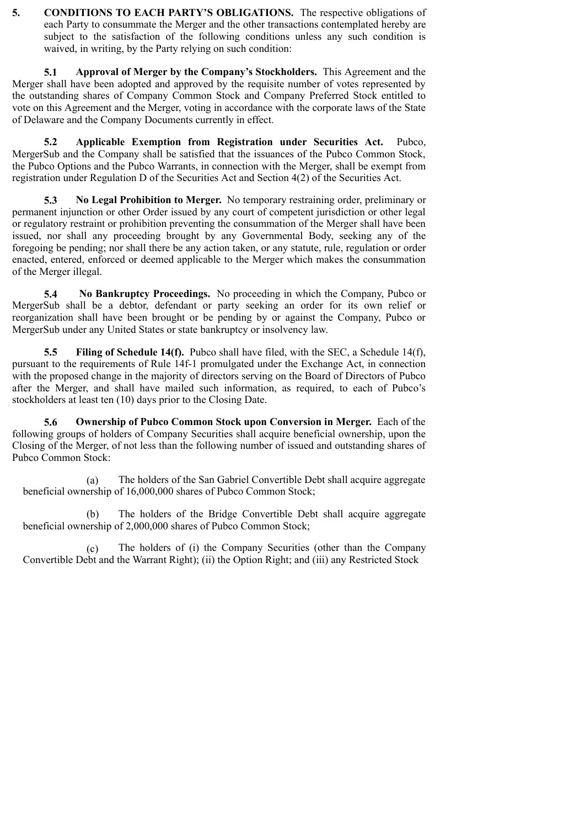**5. CONDITIONS TO EACH PARTY'S OBLIGATIONS.** The respective obligations of each Party to consummate the Merger and the other transactions contemplated hereby are subject to the satisfaction of the following conditions unless any such condition is waived, in writing, by the Party relying on such condition:

**5.1 Approval of Merger by the Company's Stockholders.** This Agreement and the Merger shall have been adopted and approved by the requisite number of votes represented by the outstanding shares of Company Common Stock and Company Preferred Stock entitled to vote on this Agreement and the Merger, voting in accordance with the corporate laws of the State of Delaware and the Company Documents currently in effect.

**5.2 Applicable Exemption from Registration under Securities Act.** Pubco, MergerSub and the Company shall be satisfied that the issuances of the Pubco Common Stock, the Pubco Options and the Pubco Warrants, in connection with the Merger, shall be exempt from registration under Regulation D of the Securities Act and Section 4(2) of the Securities Act.

**5.3 No Legal Prohibition to Merger.** No temporary restraining order, preliminary or permanent injunction or other Order issued by any court of competent jurisdiction or other legal or regulatory restraint or prohibition preventing the consummation of the Merger shall have been issued, nor shall any proceeding brought by any Governmental Body, seeking any of the foregoing be pending; nor shall there be any action taken, or any statute, rule, regulation or order enacted, entered, enforced or deemed applicable to the Merger which makes the consummation of the Merger illegal.

**5.4 No Bankruptcy Proceedings.** No proceeding in which the Company, Pubco or MergerSub shall be a debtor, defendant or party seeking an order for its own relief or reorganization shall have been brought or be pending by or against the Company, Pubco or MergerSub under any United States or state bankruptcy or insolvency law.

**5.5 Filing of Schedule 14(f).** Pubco shall have filed, with the SEC, a Schedule 14(f), pursuant to the requirements of Rule 14f-1 promulgated under the Exchange Act, in connection with the proposed change in the majority of directors serving on the Board of Directors of Pubco after the Merger, and shall have mailed such information, as required, to each of Pubco's stockholders at least ten (10) days prior to the Closing Date.

**5.6 Ownership of Pubco Common Stock upon Conversion in Merger.** Each of the following groups of holders of Company Securities shall acquire beneficial ownership, upon the Closing of the Merger, of not less than the following number of issued and outstanding shares of Pubco Common Stock:

(a) The holders of the San Gabriel Convertible Debt shall acquire aggregate beneficial ownership of 16,000,000 shares of Pubco Common Stock;

(b) The holders of the Bridge Convertible Debt shall acquire aggregate beneficial ownership of 2,000,000 shares of Pubco Common Stock;

(c) The holders of (i) the Company Securities (other than the Company Convertible Debt and the Warrant Right); (ii) the Option Right; and (iii) any Restricted Stock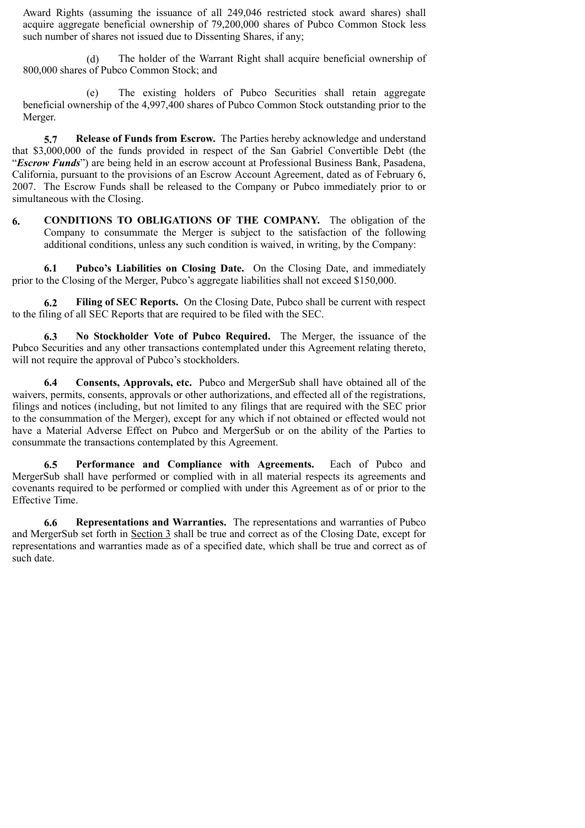Award Rights (assuming the issuance of all 249,046 restricted stock award shares) shall acquire aggregate beneficial ownership of 79,200,000 shares of Pubco Common Stock less such number of shares not issued due to Dissenting Shares, if any;

(d) The holder of the Warrant Right shall acquire beneficial ownership of 800,000 shares of Pubco Common Stock; and

(e) The existing holders of Pubco Securities shall retain aggregate beneficial ownership of the 4,997,400 shares of Pubco Common Stock outstanding prior to the Merger.

**5.7 Release of Funds from Escrow.** The Parties hereby acknowledge and understand that \$3,000,000 of the funds provided in respect of the San Gabriel Convertible Debt (the "*Escrow Funds*") are being held in an escrow account at Professional Business Bank, Pasadena, California, pursuant to the provisions of an Escrow Account Agreement, dated as of February 6, 2007. The Escrow Funds shall be released to the Company or Pubco immediately prior to or simultaneous with the Closing.

**6. CONDITIONS TO OBLIGATIONS OF THE COMPANY.** The obligation of the Company to consummate the Merger is subject to the satisfaction of the following additional conditions, unless any such condition is waived, in writing, by the Company:

**6.1 Pubco's Liabilities on Closing Date.** On the Closing Date, and immediately prior to the Closing of the Merger, Pubco's aggregate liabilities shall not exceed \$150,000.

**6.2 Filing of SEC Reports.** On the Closing Date, Pubco shall be current with respect to the filing of all SEC Reports that are required to be filed with the SEC.

**6.3 No Stockholder Vote of Pubco Required.** The Merger, the issuance of the Pubco Securities and any other transactions contemplated under this Agreement relating thereto, will not require the approval of Pubco's stockholders.

**6.4 Consents, Approvals, etc.** Pubco and MergerSub shall have obtained all of the waivers, permits, consents, approvals or other authorizations, and effected all of the registrations, filings and notices (including, but not limited to any filings that are required with the SEC prior to the consummation of the Merger), except for any which if not obtained or effected would not have a Material Adverse Effect on Pubco and MergerSub or on the ability of the Parties to consummate the transactions contemplated by this Agreement.

**6.5 Performance and Compliance with Agreements.** Each of Pubco and MergerSub shall have performed or complied with in all material respects its agreements and covenants required to be performed or complied with under this Agreement as of or prior to the Effective Time.

**6.6 Representations and Warranties.** The representations and warranties of Pubco and MergerSub set forth in Section 3 shall be true and correct as of the Closing Date, except for representations and warranties made as of a specified date, which shall be true and correct as of such date.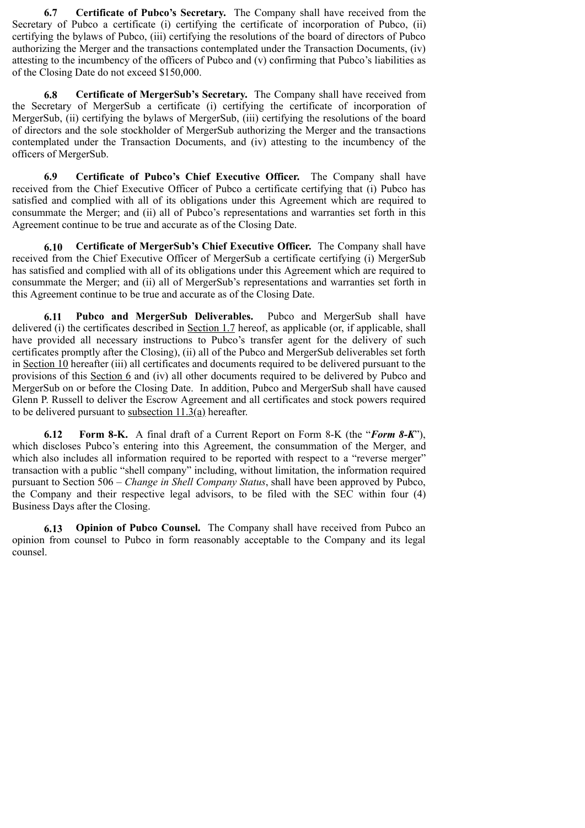**6.7 Certificate of Pubco's Secretary.** The Company shall have received from the Secretary of Pubco a certificate (i) certifying the certificate of incorporation of Pubco, (ii) certifying the bylaws of Pubco, (iii) certifying the resolutions of the board of directors of Pubco authorizing the Merger and the transactions contemplated under the Transaction Documents, (iv) attesting to the incumbency of the officers of Pubco and (v) confirming that Pubco's liabilities as of the Closing Date do not exceed \$150,000.

**6.8 Certificate of MergerSub's Secretary.** The Company shall have received from the Secretary of MergerSub a certificate (i) certifying the certificate of incorporation of MergerSub, (ii) certifying the bylaws of MergerSub, (iii) certifying the resolutions of the board of directors and the sole stockholder of MergerSub authorizing the Merger and the transactions contemplated under the Transaction Documents, and (iv) attesting to the incumbency of the officers of MergerSub.

**6.9 Certificate of Pubco's Chief Executive Officer.** The Company shall have received from the Chief Executive Officer of Pubco a certificate certifying that (i) Pubco has satisfied and complied with all of its obligations under this Agreement which are required to consummate the Merger; and (ii) all of Pubco's representations and warranties set forth in this Agreement continue to be true and accurate as of the Closing Date.

**6.10 Certificate of MergerSub's Chief Executive Officer.** The Company shall have received from the Chief Executive Officer of MergerSub a certificate certifying (i) MergerSub has satisfied and complied with all of its obligations under this Agreement which are required to consummate the Merger; and (ii) all of MergerSub's representations and warranties set forth in this Agreement continue to be true and accurate as of the Closing Date.

**6.11 Pubco and MergerSub Deliverables.** Pubco and MergerSub shall have delivered (i) the certificates described in Section 1.7 hereof, as applicable (or, if applicable, shall have provided all necessary instructions to Pubco's transfer agent for the delivery of such certificates promptly after the Closing), (ii) all of the Pubco and MergerSub deliverables set forth in Section 10 hereafter (iii) all certificates and documents required to be delivered pursuant to the provisions of this Section 6 and (iv) all other documents required to be delivered by Pubco and MergerSub on or before the Closing Date. In addition, Pubco and MergerSub shall have caused Glenn P. Russell to deliver the Escrow Agreement and all certificates and stock powers required to be delivered pursuant to subsection 11.3(a) hereafter.

**6.12 Form 8-K.** A final draft of a Current Report on Form 8-K (the "*Form 8-K*"), which discloses Pubco's entering into this Agreement, the consummation of the Merger, and which also includes all information required to be reported with respect to a "reverse merger" transaction with a public "shell company" including, without limitation, the information required pursuant to Section 506 – *Change in Shell Company Status*, shall have been approved by Pubco, the Company and their respective legal advisors, to be filed with the SEC within four (4) Business Days after the Closing.

**6.13 Opinion of Pubco Counsel.** The Company shall have received from Pubco an opinion from counsel to Pubco in form reasonably acceptable to the Company and its legal counsel.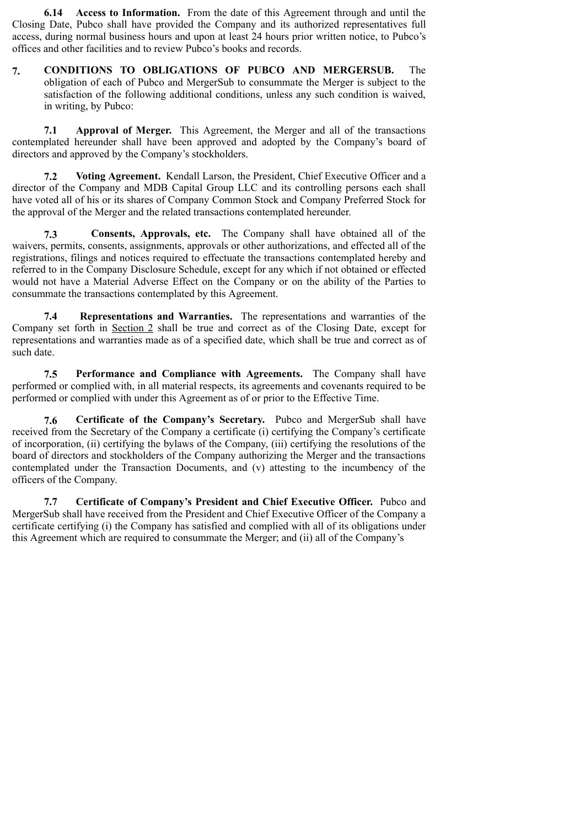**6.14 Access to Information.** From the date of this Agreement through and until the Closing Date, Pubco shall have provided the Company and its authorized representatives full access, during normal business hours and upon at least 24 hours prior written notice, to Pubco's offices and other facilities and to review Pubco's books and records.

**7. CONDITIONS TO OBLIGATIONS OF PUBCO AND MERGERSUB.** The obligation of each of Pubco and MergerSub to consummate the Merger is subject to the satisfaction of the following additional conditions, unless any such condition is waived, in writing, by Pubco:

**7.1 Approval of Merger.** This Agreement, the Merger and all of the transactions contemplated hereunder shall have been approved and adopted by the Company's board of directors and approved by the Company's stockholders.

**7.2 Voting Agreement.** Kendall Larson, the President, Chief Executive Officer and a director of the Company and MDB Capital Group LLC and its controlling persons each shall have voted all of his or its shares of Company Common Stock and Company Preferred Stock for the approval of the Merger and the related transactions contemplated hereunder.

**7.3 Consents, Approvals, etc.** The Company shall have obtained all of the waivers, permits, consents, assignments, approvals or other authorizations, and effected all of the registrations, filings and notices required to effectuate the transactions contemplated hereby and referred to in the Company Disclosure Schedule, except for any which if not obtained or effected would not have a Material Adverse Effect on the Company or on the ability of the Parties to consummate the transactions contemplated by this Agreement.

**7.4 Representations and Warranties.** The representations and warranties of the Company set forth in Section 2 shall be true and correct as of the Closing Date, except for representations and warranties made as of a specified date, which shall be true and correct as of such date.

**7.5 Performance and Compliance with Agreements.** The Company shall have performed or complied with, in all material respects, its agreements and covenants required to be performed or complied with under this Agreement as of or prior to the Effective Time.

**7.6 Certificate of the Company's Secretary.** Pubco and MergerSub shall have received from the Secretary of the Company a certificate (i) certifying the Company's certificate of incorporation, (ii) certifying the bylaws of the Company, (iii) certifying the resolutions of the board of directors and stockholders of the Company authorizing the Merger and the transactions contemplated under the Transaction Documents, and (v) attesting to the incumbency of the officers of the Company.

**7.7 Certificate of Company's President and Chief Executive Officer.** Pubco and MergerSub shall have received from the President and Chief Executive Officer of the Company a certificate certifying (i) the Company has satisfied and complied with all of its obligations under this Agreement which are required to consummate the Merger; and (ii) all of the Company's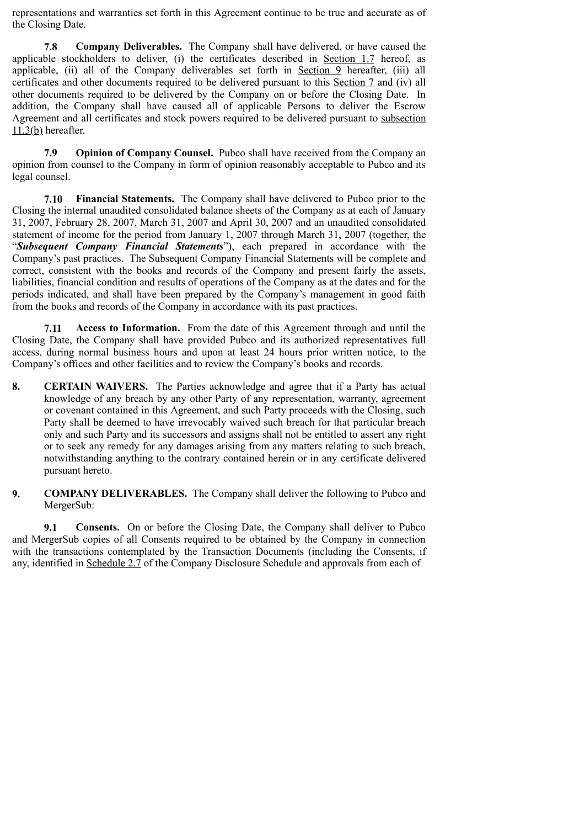representations and warranties set forth in this Agreement continue to be true and accurate as of the Closing Date.

**7.8 Company Deliverables.** The Company shall have delivered, or have caused the applicable stockholders to deliver, (i) the certificates described in Section 1.7 hereof, as applicable, (ii) all of the Company deliverables set forth in Section 9 hereafter, (iii) all certificates and other documents required to be delivered pursuant to this Section 7 and (iv) all other documents required to be delivered by the Company on or before the Closing Date. In addition, the Company shall have caused all of applicable Persons to deliver the Escrow Agreement and all certificates and stock powers required to be delivered pursuant to subsection  $11.3(b)$  hereafter.

**7.9 Opinion of Company Counsel.** Pubco shall have received from the Company an opinion from counsel to the Company in form of opinion reasonably acceptable to Pubco and its legal counsel.

**7.10 Financial Statements.** The Company shall have delivered to Pubco prior to the Closing the internal unaudited consolidated balance sheets of the Company as at each of January 31, 2007, February 28, 2007, March 31, 2007 and April 30, 2007 and an unaudited consolidated statement of income for the period from January 1, 2007 through March 31, 2007 (together, the "*Subsequent Company Financial Statements*"), each prepared in accordance with the Company's past practices. The Subsequent Company Financial Statements will be complete and correct, consistent with the books and records of the Company and present fairly the assets, liabilities, financial condition and results of operations of the Company as at the dates and for the periods indicated, and shall have been prepared by the Company's management in good faith from the books and records of the Company in accordance with its past practices.

**7.11 Access to Information.** From the date of this Agreement through and until the Closing Date, the Company shall have provided Pubco and its authorized representatives full access, during normal business hours and upon at least 24 hours prior written notice, to the Company's offices and other facilities and to review the Company's books and records.

- **8. CERTAIN WAIVERS.** The Parties acknowledge and agree that if a Party has actual knowledge of any breach by any other Party of any representation, warranty, agreement or covenant contained in this Agreement, and such Party proceeds with the Closing, such Party shall be deemed to have irrevocably waived such breach for that particular breach only and such Party and its successors and assigns shall not be entitled to assert any right or to seek any remedy for any damages arising from any matters relating to such breach, notwithstanding anything to the contrary contained herein or in any certificate delivered pursuant hereto.
- **9. COMPANY DELIVERABLES.** The Company shall deliver the following to Pubco and MergerSub:

**9.1 Consents.** On or before the Closing Date, the Company shall deliver to Pubco and MergerSub copies of all Consents required to be obtained by the Company in connection with the transactions contemplated by the Transaction Documents (including the Consents, if any, identified in Schedule 2.7 of the Company Disclosure Schedule and approvals from each of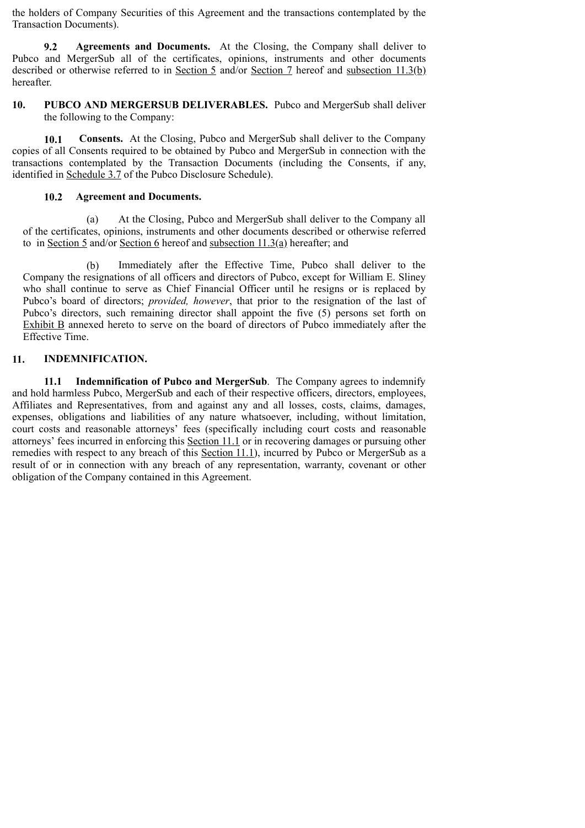the holders of Company Securities of this Agreement and the transactions contemplated by the Transaction Documents).

**9.2 Agreements and Documents.** At the Closing, the Company shall deliver to Pubco and MergerSub all of the certificates, opinions, instruments and other documents described or otherwise referred to in Section 5 and/or Section 7 hereof and subsection 11.3(b) hereafter.

**10. PUBCO AND MERGERSUB DELIVERABLES.** Pubco and MergerSub shall deliver the following to the Company:

**10.1 Consents.** At the Closing, Pubco and MergerSub shall deliver to the Company copies of all Consents required to be obtained by Pubco and MergerSub in connection with the transactions contemplated by the Transaction Documents (including the Consents, if any, identified in Schedule 3.7 of the Pubco Disclosure Schedule).

#### **10.2 Agreement and Documents.**

(a) At the Closing, Pubco and MergerSub shall deliver to the Company all of the certificates, opinions, instruments and other documents described or otherwise referred to in Section 5 and/or Section 6 hereof and subsection 11.3(a) hereafter; and

(b) Immediately after the Effective Time, Pubco shall deliver to the Company the resignations of all officers and directors of Pubco, except for William E. Sliney who shall continue to serve as Chief Financial Officer until he resigns or is replaced by Pubco's board of directors; *provided, however*, that prior to the resignation of the last of Pubco's directors, such remaining director shall appoint the five (5) persons set forth on Exhibit B annexed hereto to serve on the board of directors of Pubco immediately after the Effective Time.

#### **11. INDEMNIFICATION.**

**11.1 Indemnification of Pubco and MergerSub**. The Company agrees to indemnify and hold harmless Pubco, MergerSub and each of their respective officers, directors, employees, Affiliates and Representatives, from and against any and all losses, costs, claims, damages, expenses, obligations and liabilities of any nature whatsoever, including, without limitation, court costs and reasonable attorneys' fees (specifically including court costs and reasonable attorneys' fees incurred in enforcing this Section 11.1 or in recovering damages or pursuing other remedies with respect to any breach of this Section 11.1), incurred by Pubco or MergerSub as a result of or in connection with any breach of any representation, warranty, covenant or other obligation of the Company contained in this Agreement.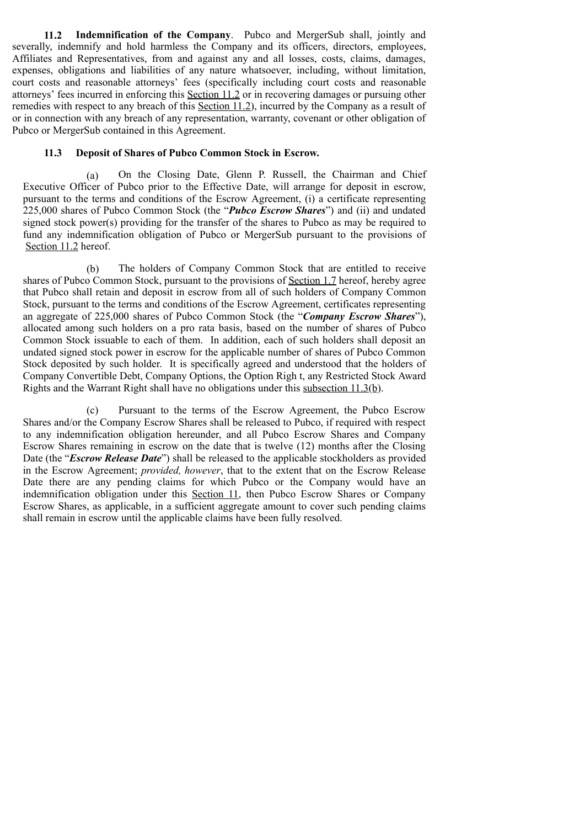**11.2 Indemnification of the Company**. Pubco and MergerSub shall, jointly and severally, indemnify and hold harmless the Company and its officers, directors, employees, Affiliates and Representatives, from and against any and all losses, costs, claims, damages, expenses, obligations and liabilities of any nature whatsoever, including, without limitation, court costs and reasonable attorneys' fees (specifically including court costs and reasonable attorneys' fees incurred in enforcing this Section 11.2 or in recovering damages or pursuing other remedies with respect to any breach of this Section 11.2), incurred by the Company as a result of or in connection with any breach of any representation, warranty, covenant or other obligation of Pubco or MergerSub contained in this Agreement.

#### **11.3 Deposit of Shares of Pubco Common Stock in Escrow.**

(a) On the Closing Date, Glenn P. Russell, the Chairman and Chief Executive Officer of Pubco prior to the Effective Date, will arrange for deposit in escrow, pursuant to the terms and conditions of the Escrow Agreement, (i) a certificate representing 225,000 shares of Pubco Common Stock (the "*Pubco Escrow Shares*") and (ii) and undated signed stock power(s) providing for the transfer of the shares to Pubco as may be required to fund any indemnification obligation of Pubco or MergerSub pursuant to the provisions of Section 11.2 hereof.

(b) The holders of Company Common Stock that are entitled to receive shares of Pubco Common Stock, pursuant to the provisions of Section 1.7 hereof, hereby agree that Pubco shall retain and deposit in escrow from all of such holders of Company Common Stock, pursuant to the terms and conditions of the Escrow Agreement, certificates representing an aggregate of 225,000 shares of Pubco Common Stock (the "*Company Escrow Shares*"), allocated among such holders on a pro rata basis, based on the number of shares of Pubco Common Stock issuable to each of them. In addition, each of such holders shall deposit an undated signed stock power in escrow for the applicable number of shares of Pubco Common Stock deposited by such holder. It is specifically agreed and understood that the holders of Company Convertible Debt, Company Options, the Option Righ t, any Restricted Stock Award Rights and the Warrant Right shall have no obligations under this subsection 11.3(b).

(c) Pursuant to the terms of the Escrow Agreement, the Pubco Escrow Shares and/or the Company Escrow Shares shall be released to Pubco, if required with respect to any indemnification obligation hereunder, and all Pubco Escrow Shares and Company Escrow Shares remaining in escrow on the date that is twelve (12) months after the Closing Date (the "*Escrow Release Date*") shall be released to the applicable stockholders as provided in the Escrow Agreement; *provided, however*, that to the extent that on the Escrow Release Date there are any pending claims for which Pubco or the Company would have an indemnification obligation under this Section 11, then Pubco Escrow Shares or Company Escrow Shares, as applicable, in a sufficient aggregate amount to cover such pending claims shall remain in escrow until the applicable claims have been fully resolved.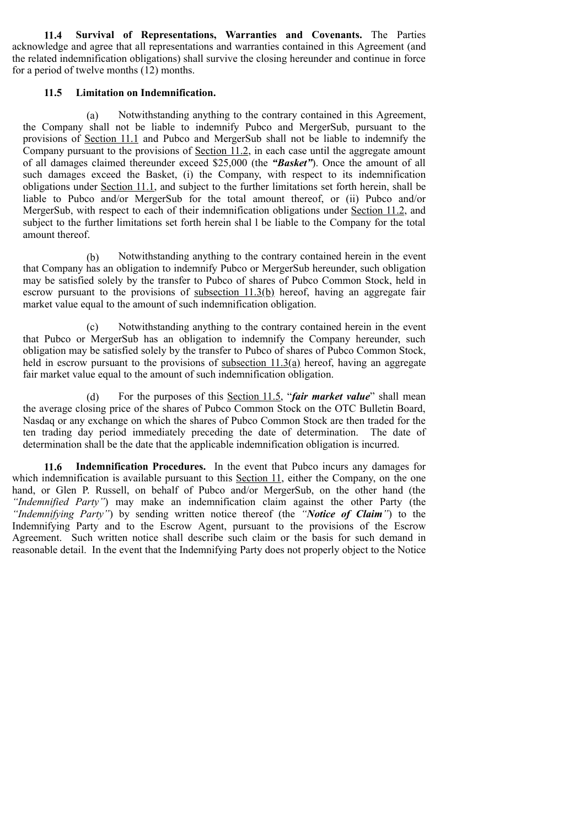**11.4 Survival of Representations, Warranties and Covenants.** The Parties acknowledge and agree that all representations and warranties contained in this Agreement (and the related indemnification obligations) shall survive the closing hereunder and continue in force for a period of twelve months (12) months.

#### **11.5 Limitation on Indemnification.**

(a) Notwithstanding anything to the contrary contained in this Agreement, the Company shall not be liable to indemnify Pubco and MergerSub, pursuant to the provisions of Section 11.1 and Pubco and MergerSub shall not be liable to indemnify the Company pursuant to the provisions of Section 11.2, in each case until the aggregate amount of all damages claimed thereunder exceed \$25,000 (the *"Basket"*). Once the amount of all such damages exceed the Basket, (i) the Company, with respect to its indemnification obligations under Section 11.1, and subject to the further limitations set forth herein, shall be liable to Pubco and/or MergerSub for the total amount thereof, or (ii) Pubco and/or MergerSub, with respect to each of their indemnification obligations under Section 11.2, and subject to the further limitations set forth herein shal l be liable to the Company for the total amount thereof.

(b) Notwithstanding anything to the contrary contained herein in the event that Company has an obligation to indemnify Pubco or MergerSub hereunder, such obligation may be satisfied solely by the transfer to Pubco of shares of Pubco Common Stock, held in escrow pursuant to the provisions of <u>subsection 11.3(b)</u> hereof, having an aggregate fair market value equal to the amount of such indemnification obligation.

(c) Notwithstanding anything to the contrary contained herein in the event that Pubco or MergerSub has an obligation to indemnify the Company hereunder, such obligation may be satisfied solely by the transfer to Pubco of shares of Pubco Common Stock, held in escrow pursuant to the provisions of subsection  $11.3(a)$  hereof, having an aggregate fair market value equal to the amount of such indemnification obligation.

(d) For the purposes of this Section 11.5, "*fair market value*" shall mean the average closing price of the shares of Pubco Common Stock on the OTC Bulletin Board, Nasdaq or any exchange on which the shares of Pubco Common Stock are then traded for the ten trading day period immediately preceding the date of determination. The date of determination shall be the date that the applicable indemnification obligation is incurred.

**11.6 Indemnification Procedures.** In the event that Pubco incurs any damages for which indemnification is available pursuant to this Section 11, either the Company, on the one hand, or Glen P. Russell, on behalf of Pubco and/or MergerSub, on the other hand (the *"Indemnified Party"*) may make an indemnification claim against the other Party (the *"Indemnifying Party"*) by sending written notice thereof (the *"Notice of Claim"*) to the Indemnifying Party and to the Escrow Agent, pursuant to the provisions of the Escrow Agreement. Such written notice shall describe such claim or the basis for such demand in reasonable detail. In the event that the Indemnifying Party does not properly object to the Notice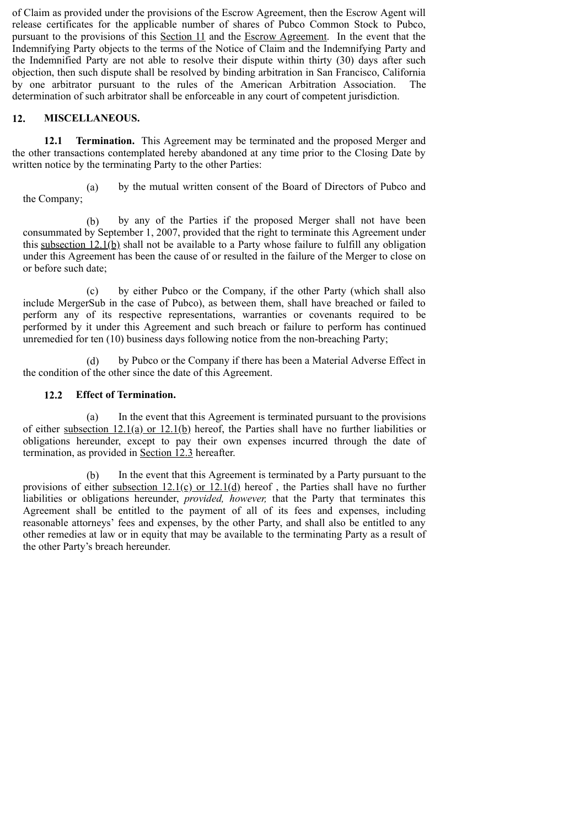of Claim as provided under the provisions of the Escrow Agreement, then the Escrow Agent will release certificates for the applicable number of shares of Pubco Common Stock to Pubco, pursuant to the provisions of this Section 11 and the Escrow Agreement. In the event that the Indemnifying Party objects to the terms of the Notice of Claim and the Indemnifying Party and the Indemnified Party are not able to resolve their dispute within thirty (30) days after such objection, then such dispute shall be resolved by binding arbitration in San Francisco, California by one arbitrator pursuant to the rules of the American Arbitration Association. The determination of such arbitrator shall be enforceable in any court of competent jurisdiction.

## **12. MISCELLANEOUS.**

**12.1 Termination.** This Agreement may be terminated and the proposed Merger and the other transactions contemplated hereby abandoned at any time prior to the Closing Date by written notice by the terminating Party to the other Parties:

(a) by the mutual written consent of the Board of Directors of Pubco and the Company;

(b) by any of the Parties if the proposed Merger shall not have been consummated by September 1, 2007, provided that the right to terminate this Agreement under this subsection 12.1(b) shall not be available to a Party whose failure to fulfill any obligation under this Agreement has been the cause of or resulted in the failure of the Merger to close on or before such date;

(c) by either Pubco or the Company, if the other Party (which shall also include MergerSub in the case of Pubco), as between them, shall have breached or failed to perform any of its respective representations, warranties or covenants required to be performed by it under this Agreement and such breach or failure to perform has continued unremedied for ten (10) business days following notice from the non-breaching Party;

(d) by Pubco or the Company if there has been a Material Adverse Effect in the condition of the other since the date of this Agreement.

## **12.2 Effect of Termination.**

(a) In the event that this Agreement is terminated pursuant to the provisions of either subsection 12.1(a) or 12.1(b) hereof, the Parties shall have no further liabilities or obligations hereunder, except to pay their own expenses incurred through the date of termination, as provided in Section 12.3 hereafter.

(b) In the event that this Agreement is terminated by a Party pursuant to the provisions of either subsection  $12.1(c)$  or  $12.1(d)$  hereof, the Parties shall have no further liabilities or obligations hereunder, *provided, however,* that the Party that terminates this Agreement shall be entitled to the payment of all of its fees and expenses, including reasonable attorneys' fees and expenses, by the other Party, and shall also be entitled to any other remedies at law or in equity that may be available to the terminating Party as a result of the other Party's breach hereunder.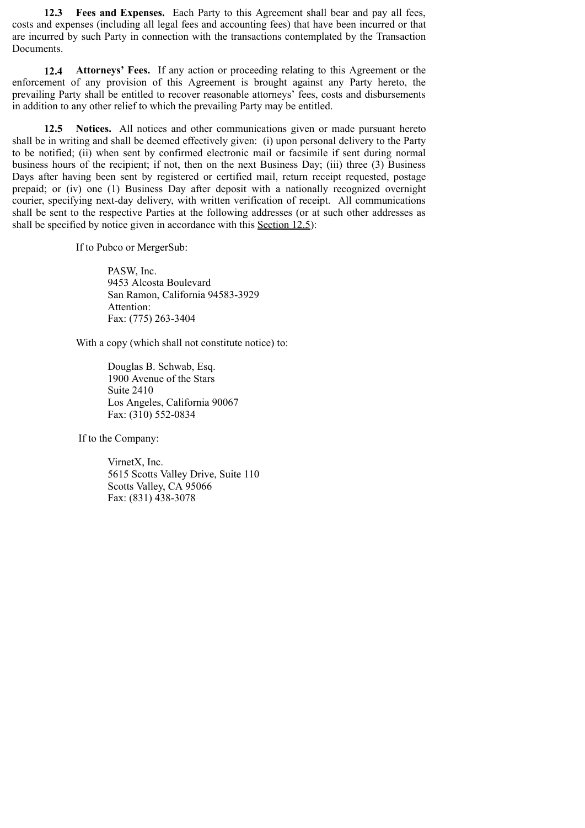**12.3 Fees and Expenses.** Each Party to this Agreement shall bear and pay all fees, costs and expenses (including all legal fees and accounting fees) that have been incurred or that are incurred by such Party in connection with the transactions contemplated by the Transaction Documents.

**12.4 Attorneys' Fees.** If any action or proceeding relating to this Agreement or the enforcement of any provision of this Agreement is brought against any Party hereto, the prevailing Party shall be entitled to recover reasonable attorneys' fees, costs and disbursements in addition to any other relief to which the prevailing Party may be entitled.

**12.5 Notices.** All notices and other communications given or made pursuant hereto shall be in writing and shall be deemed effectively given: (i) upon personal delivery to the Party to be notified; (ii) when sent by confirmed electronic mail or facsimile if sent during normal business hours of the recipient; if not, then on the next Business Day; (iii) three (3) Business Days after having been sent by registered or certified mail, return receipt requested, postage prepaid; or (iv) one (1) Business Day after deposit with a nationally recognized overnight courier, specifying next-day delivery, with written verification of receipt. All communications shall be sent to the respective Parties at the following addresses (or at such other addresses as shall be specified by notice given in accordance with this Section 12.5):

If to Pubco or MergerSub:

PASW, Inc. 9453 Alcosta Boulevard San Ramon, California 94583-3929 Attention: Fax: (775) 263-3404

With a copy (which shall not constitute notice) to:

Douglas B. Schwab, Esq. 1900 Avenue of the Stars Suite 2410 Los Angeles, California 90067 Fax: (310) 552-0834

If to the Company:

VirnetX, Inc. 5615 Scotts Valley Drive, Suite 110 Scotts Valley, CA 95066 Fax: (831) 438-3078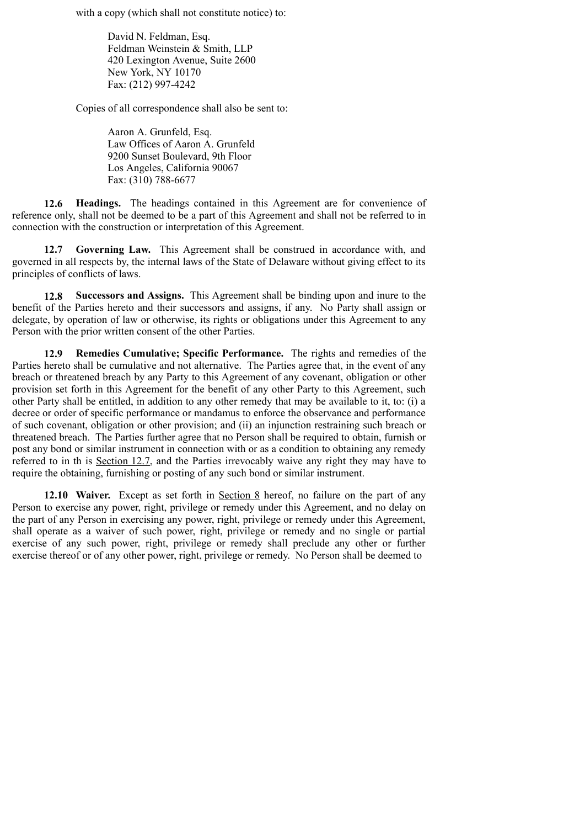with a copy (which shall not constitute notice) to:

David N. Feldman, Esq. Feldman Weinstein & Smith, LLP 420 Lexington Avenue, Suite 2600 New York, NY 10170 Fax: (212) 997-4242

Copies of all correspondence shall also be sent to:

Aaron A. Grunfeld, Esq. Law Offices of Aaron A. Grunfeld 9200 Sunset Boulevard, 9th Floor Los Angeles, California 90067 Fax: (310) 788-6677

**12.6 Headings.** The headings contained in this Agreement are for convenience of reference only, shall not be deemed to be a part of this Agreement and shall not be referred to in connection with the construction or interpretation of this Agreement.

**12.7 Governing Law.** This Agreement shall be construed in accordance with, and governed in all respects by, the internal laws of the State of Delaware without giving effect to its principles of conflicts of laws.

**12.8 Successors and Assigns.** This Agreement shall be binding upon and inure to the benefit of the Parties hereto and their successors and assigns, if any. No Party shall assign or delegate, by operation of law or otherwise, its rights or obligations under this Agreement to any Person with the prior written consent of the other Parties.

**12.9 Remedies Cumulative; Specific Performance.** The rights and remedies of the Parties hereto shall be cumulative and not alternative. The Parties agree that, in the event of any breach or threatened breach by any Party to this Agreement of any covenant, obligation or other provision set forth in this Agreement for the benefit of any other Party to this Agreement, such other Party shall be entitled, in addition to any other remedy that may be available to it, to: (i) a decree or order of specific performance or mandamus to enforce the observance and performance of such covenant, obligation or other provision; and (ii) an injunction restraining such breach or threatened breach. The Parties further agree that no Person shall be required to obtain, furnish or post any bond or similar instrument in connection with or as a condition to obtaining any remedy referred to in th is Section 12.7, and the Parties irrevocably waive any right they may have to require the obtaining, furnishing or posting of any such bond or similar instrument.

**12.10 Waiver.** Except as set forth in Section 8 hereof, no failure on the part of any Person to exercise any power, right, privilege or remedy under this Agreement, and no delay on the part of any Person in exercising any power, right, privilege or remedy under this Agreement, shall operate as a waiver of such power, right, privilege or remedy and no single or partial exercise of any such power, right, privilege or remedy shall preclude any other or further exercise thereof or of any other power, right, privilege or remedy. No Person shall be deemed to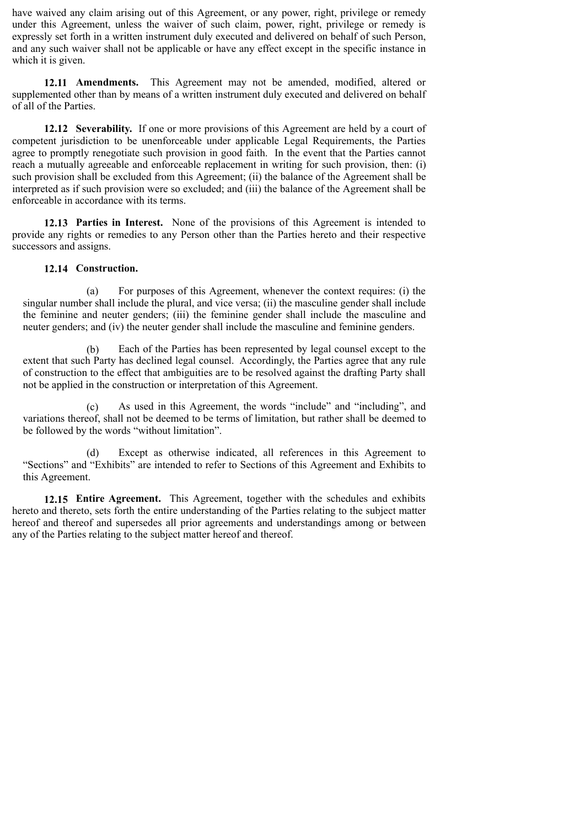have waived any claim arising out of this Agreement, or any power, right, privilege or remedy under this Agreement, unless the waiver of such claim, power, right, privilege or remedy is expressly set forth in a written instrument duly executed and delivered on behalf of such Person, and any such waiver shall not be applicable or have any effect except in the specific instance in which it is given.

**12.11 Amendments.** This Agreement may not be amended, modified, altered or supplemented other than by means of a written instrument duly executed and delivered on behalf of all of the Parties.

**12.12 Severability.** If one or more provisions of this Agreement are held by a court of competent jurisdiction to be unenforceable under applicable Legal Requirements, the Parties agree to promptly renegotiate such provision in good faith. In the event that the Parties cannot reach a mutually agreeable and enforceable replacement in writing for such provision, then: (i) such provision shall be excluded from this Agreement; (ii) the balance of the Agreement shall be interpreted as if such provision were so excluded; and (iii) the balance of the Agreement shall be enforceable in accordance with its terms.

**12.13 Parties in Interest.** None of the provisions of this Agreement is intended to provide any rights or remedies to any Person other than the Parties hereto and their respective successors and assigns.

#### **12.14 Construction.**

(a) For purposes of this Agreement, whenever the context requires: (i) the singular number shall include the plural, and vice versa; (ii) the masculine gender shall include the feminine and neuter genders; (iii) the feminine gender shall include the masculine and neuter genders; and (iv) the neuter gender shall include the masculine and feminine genders.

(b) Each of the Parties has been represented by legal counsel except to the extent that such Party has declined legal counsel. Accordingly, the Parties agree that any rule of construction to the effect that ambiguities are to be resolved against the drafting Party shall not be applied in the construction or interpretation of this Agreement.

(c) As used in this Agreement, the words "include" and "including", and variations thereof, shall not be deemed to be terms of limitation, but rather shall be deemed to be followed by the words "without limitation".

(d) Except as otherwise indicated, all references in this Agreement to "Sections" and "Exhibits" are intended to refer to Sections of this Agreement and Exhibits to this Agreement.

**12.15 Entire Agreement.** This Agreement, together with the schedules and exhibits hereto and thereto, sets forth the entire understanding of the Parties relating to the subject matter hereof and thereof and supersedes all prior agreements and understandings among or between any of the Parties relating to the subject matter hereof and thereof.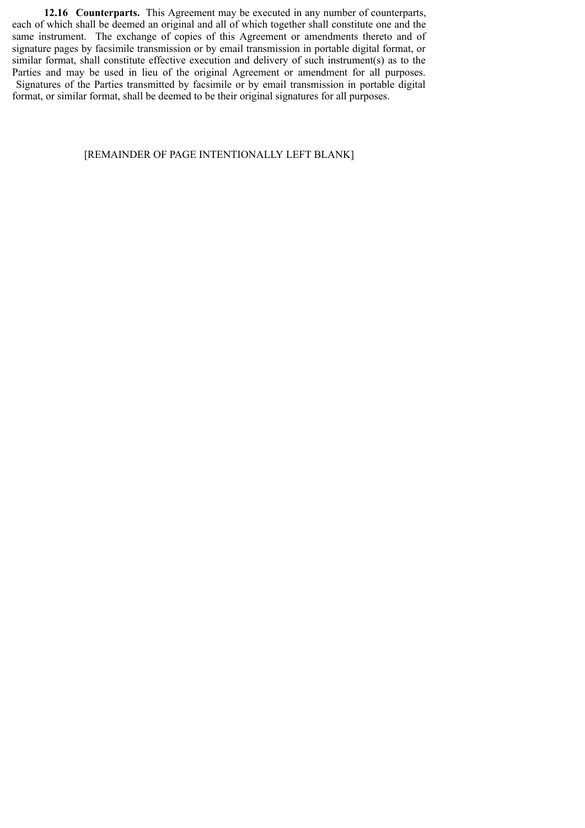**12.16 Counterparts.** This Agreement may be executed in any number of counterparts, each of which shall be deemed an original and all of which together shall constitute one and the same instrument. The exchange of copies of this Agreement or amendments thereto and of signature pages by facsimile transmission or by email transmission in portable digital format, or similar format, shall constitute effective execution and delivery of such instrument(s) as to the Parties and may be used in lieu of the original Agreement or amendment for all purposes. Signatures of the Parties transmitted by facsimile or by email transmission in portable digital format, or similar format, shall be deemed to be their original signatures for all purposes.

#### [REMAINDER OF PAGE INTENTIONALLY LEFT BLANK]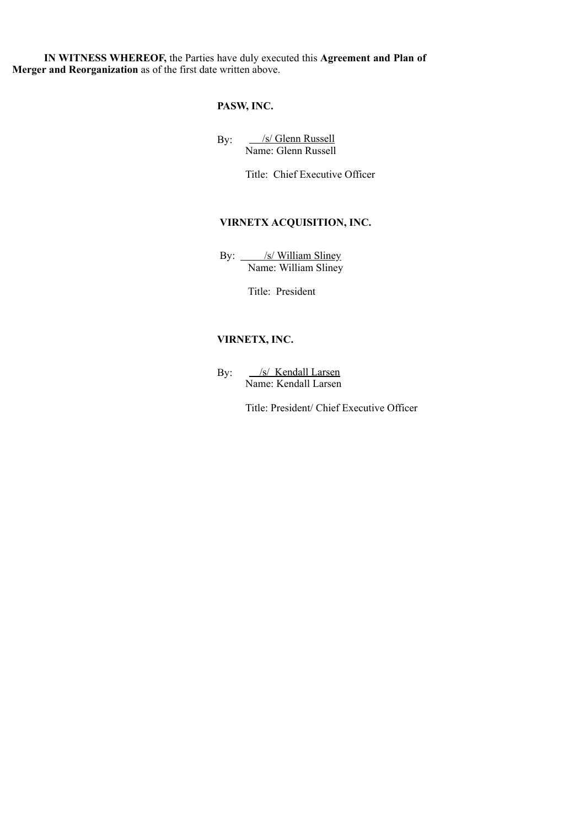**IN WITNESS WHEREOF,** the Parties have duly executed this **Agreement and Plan of Merger and Reorganization** as of the first date written above.

## **PASW, INC.**

By: S/ Glenn Russell Name: Glenn Russell

Title: Chief Executive Officer

## **VIRNETX ACQUISITION, INC.**

By: <u>/s/ William Sliney</u> Name: William Sliney

Title: President

## **VIRNETX, INC.**

By: /s/ Kendall Larsen Name: Kendall Larsen

Title: President/ Chief Executive Officer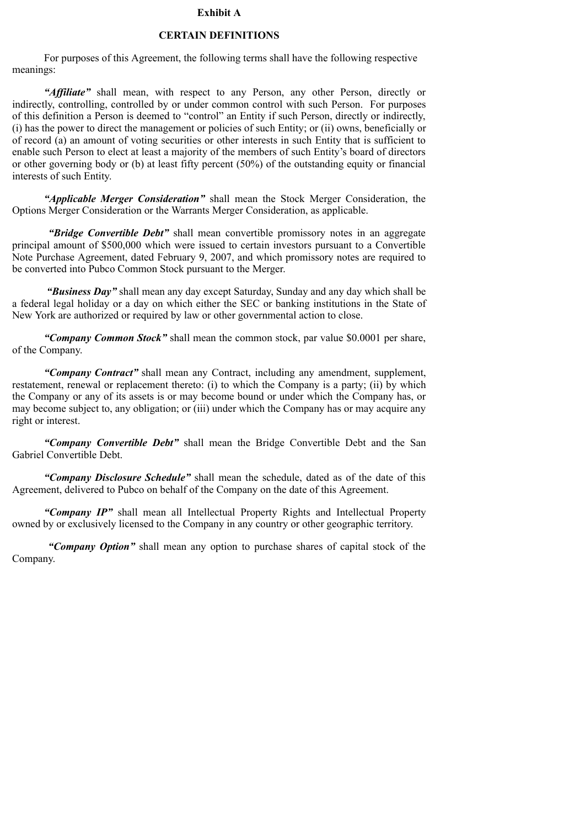#### **Exhibit A**

#### **CERTAIN DEFINITIONS**

For purposes of this Agreement, the following terms shall have the following respective meanings:

*"Affiliate"* shall mean, with respect to any Person, any other Person, directly or indirectly, controlling, controlled by or under common control with such Person. For purposes of this definition a Person is deemed to "control" an Entity if such Person, directly or indirectly, (i) has the power to direct the management or policies of such Entity; or (ii) owns, beneficially or of record (a) an amount of voting securities or other interests in such Entity that is sufficient to enable such Person to elect at least a majority of the members of such Entity's board of directors or other governing body or (b) at least fifty percent (50%) of the outstanding equity or financial interests of such Entity.

*"Applicable Merger Consideration"* shall mean the Stock Merger Consideration, the Options Merger Consideration or the Warrants Merger Consideration, as applicable.

*"Bridge Convertible Debt"* shall mean convertible promissory notes in an aggregate principal amount of \$500,000 which were issued to certain investors pursuant to a Convertible Note Purchase Agreement, dated February 9, 2007, and which promissory notes are required to be converted into Pubco Common Stock pursuant to the Merger.

 *"Business Day"* shall mean any day except Saturday, Sunday and any day which shall be a federal legal holiday or a day on which either the SEC or banking institutions in the State of New York are authorized or required by law or other governmental action to close.

*"Company Common Stock"* shall mean the common stock, par value \$0.0001 per share, of the Company.

*"Company Contract"* shall mean any Contract, including any amendment, supplement, restatement, renewal or replacement thereto: (i) to which the Company is a party; (ii) by which the Company or any of its assets is or may become bound or under which the Company has, or may become subject to, any obligation; or (iii) under which the Company has or may acquire any right or interest.

*"Company Convertible Debt"* shall mean the Bridge Convertible Debt and the San Gabriel Convertible Debt.

*"Company Disclosure Schedule"* shall mean the schedule, dated as of the date of this Agreement, delivered to Pubco on behalf of the Company on the date of this Agreement.

*"Company IP"* shall mean all Intellectual Property Rights and Intellectual Property owned by or exclusively licensed to the Company in any country or other geographic territory.

*"Company Option"* shall mean any option to purchase shares of capital stock of the Company.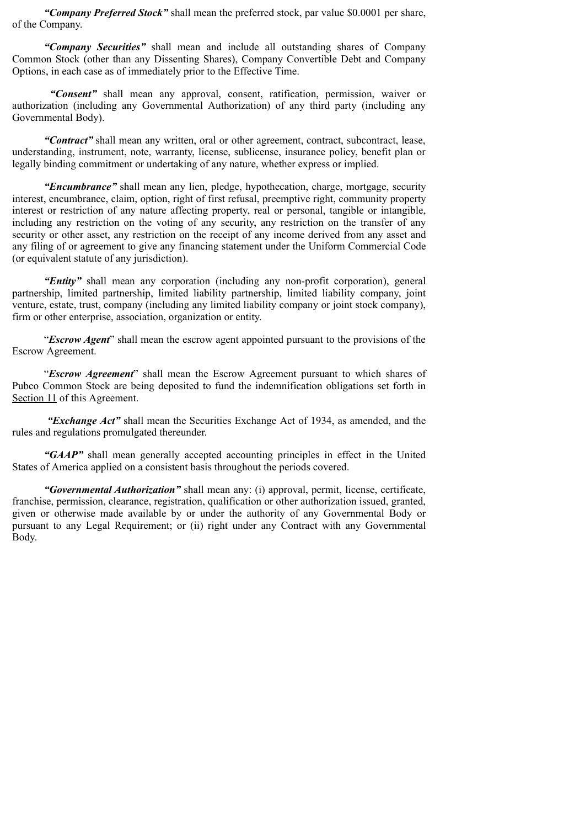*"Company Preferred Stock"* shall mean the preferred stock, par value \$0.0001 per share, of the Company.

*"Company Securities"* shall mean and include all outstanding shares of Company Common Stock (other than any Dissenting Shares), Company Convertible Debt and Company Options, in each case as of immediately prior to the Effective Time.

*"Consent"* shall mean any approval, consent, ratification, permission, waiver or authorization (including any Governmental Authorization) of any third party (including any Governmental Body).

*"Contract"* shall mean any written, oral or other agreement, contract, subcontract, lease, understanding, instrument, note, warranty, license, sublicense, insurance policy, benefit plan or legally binding commitment or undertaking of any nature, whether express or implied.

*"Encumbrance"* shall mean any lien, pledge, hypothecation, charge, mortgage, security interest, encumbrance, claim, option, right of first refusal, preemptive right, community property interest or restriction of any nature affecting property, real or personal, tangible or intangible, including any restriction on the voting of any security, any restriction on the transfer of any security or other asset, any restriction on the receipt of any income derived from any asset and any filing of or agreement to give any financing statement under the Uniform Commercial Code (or equivalent statute of any jurisdiction).

*"Entity"* shall mean any corporation (including any non-profit corporation), general partnership, limited partnership, limited liability partnership, limited liability company, joint venture, estate, trust, company (including any limited liability company or joint stock company), firm or other enterprise, association, organization or entity.

"*Escrow Agent*" shall mean the escrow agent appointed pursuant to the provisions of the Escrow Agreement.

"*Escrow Agreement*" shall mean the Escrow Agreement pursuant to which shares of Pubco Common Stock are being deposited to fund the indemnification obligations set forth in Section 11 of this Agreement.

*"Exchange Act"* shall mean the Securities Exchange Act of 1934, as amended, and the rules and regulations promulgated thereunder.

*"GAAP"* shall mean generally accepted accounting principles in effect in the United States of America applied on a consistent basis throughout the periods covered.

*"Governmental Authorization"* shall mean any: (i) approval, permit, license, certificate, franchise, permission, clearance, registration, qualification or other authorization issued, granted, given or otherwise made available by or under the authority of any Governmental Body or pursuant to any Legal Requirement; or (ii) right under any Contract with any Governmental Body.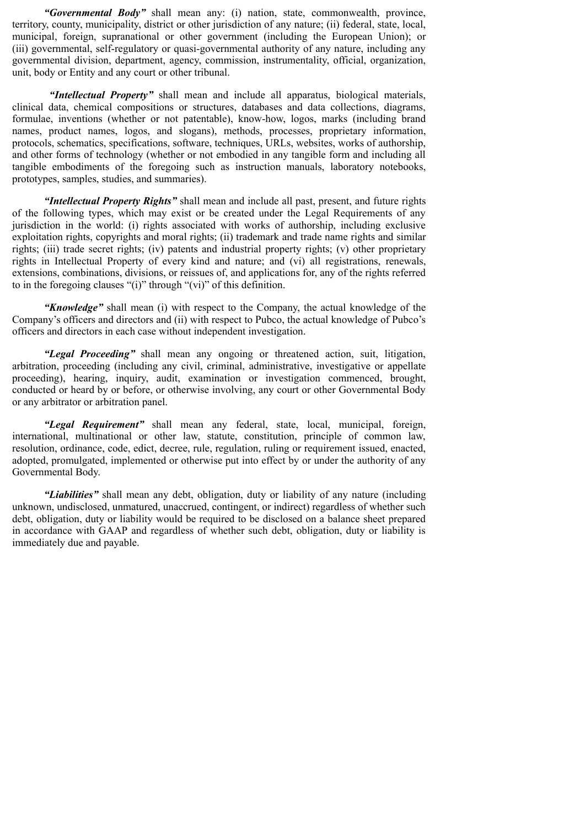*"Governmental Body"* shall mean any: (i) nation, state, commonwealth, province, territory, county, municipality, district or other jurisdiction of any nature; (ii) federal, state, local, municipal, foreign, supranational or other government (including the European Union); or (iii) governmental, self-regulatory or quasi-governmental authority of any nature, including any governmental division, department, agency, commission, instrumentality, official, organization, unit, body or Entity and any court or other tribunal.

*"Intellectual Property"* shall mean and include all apparatus, biological materials, clinical data, chemical compositions or structures, databases and data collections, diagrams, formulae, inventions (whether or not patentable), know-how, logos, marks (including brand names, product names, logos, and slogans), methods, processes, proprietary information, protocols, schematics, specifications, software, techniques, URLs, websites, works of authorship, and other forms of technology (whether or not embodied in any tangible form and including all tangible embodiments of the foregoing such as instruction manuals, laboratory notebooks, prototypes, samples, studies, and summaries).

*"Intellectual Property Rights"* shall mean and include all past, present, and future rights of the following types, which may exist or be created under the Legal Requirements of any jurisdiction in the world: (i) rights associated with works of authorship, including exclusive exploitation rights, copyrights and moral rights; (ii) trademark and trade name rights and similar rights; (iii) trade secret rights; (iv) patents and industrial property rights; (v) other proprietary rights in Intellectual Property of every kind and nature; and (vi) all registrations, renewals, extensions, combinations, divisions, or reissues of, and applications for, any of the rights referred to in the foregoing clauses "(i)" through "(vi)" of this definition.

*"Knowledge"* shall mean (i) with respect to the Company, the actual knowledge of the Company's officers and directors and (ii) with respect to Pubco, the actual knowledge of Pubco's officers and directors in each case without independent investigation.

*"Legal Proceeding"* shall mean any ongoing or threatened action, suit, litigation, arbitration, proceeding (including any civil, criminal, administrative, investigative or appellate proceeding), hearing, inquiry, audit, examination or investigation commenced, brought, conducted or heard by or before, or otherwise involving, any court or other Governmental Body or any arbitrator or arbitration panel.

*"Legal Requirement"* shall mean any federal, state, local, municipal, foreign, international, multinational or other law, statute, constitution, principle of common law, resolution, ordinance, code, edict, decree, rule, regulation, ruling or requirement issued, enacted, adopted, promulgated, implemented or otherwise put into effect by or under the authority of any Governmental Body.

*"Liabilities"* shall mean any debt, obligation, duty or liability of any nature (including unknown, undisclosed, unmatured, unaccrued, contingent, or indirect) regardless of whether such debt, obligation, duty or liability would be required to be disclosed on a balance sheet prepared in accordance with GAAP and regardless of whether such debt, obligation, duty or liability is immediately due and payable.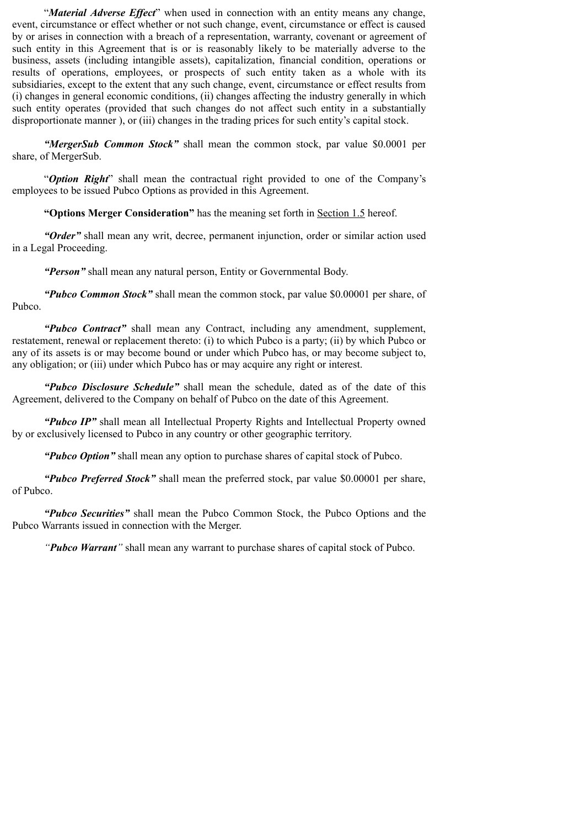"*Material Adverse Effect*" when used in connection with an entity means any change, event, circumstance or effect whether or not such change, event, circumstance or effect is caused by or arises in connection with a breach of a representation, warranty, covenant or agreement of such entity in this Agreement that is or is reasonably likely to be materially adverse to the business, assets (including intangible assets), capitalization, financial condition, operations or results of operations, employees, or prospects of such entity taken as a whole with its subsidiaries, except to the extent that any such change, event, circumstance or effect results from (i) changes in general economic conditions, (ii) changes affecting the industry generally in which such entity operates (provided that such changes do not affect such entity in a substantially disproportionate manner ), or (iii) changes in the trading prices for such entity's capital stock.

*"MergerSub Common Stock"* shall mean the common stock, par value \$0.0001 per share, of MergerSub.

"*Option Right*" shall mean the contractual right provided to one of the Company's employees to be issued Pubco Options as provided in this Agreement.

**"Options Merger Consideration"** has the meaning set forth in Section 1.5 hereof.

*"Order"* shall mean any writ, decree, permanent injunction, order or similar action used in a Legal Proceeding.

*"Person"* shall mean any natural person, Entity or Governmental Body.

*"Pubco Common Stock"* shall mean the common stock, par value \$0.00001 per share, of Pubco.

*"Pubco Contract"* shall mean any Contract, including any amendment, supplement, restatement, renewal or replacement thereto: (i) to which Pubco is a party; (ii) by which Pubco or any of its assets is or may become bound or under which Pubco has, or may become subject to, any obligation; or (iii) under which Pubco has or may acquire any right or interest.

*"Pubco Disclosure Schedule"* shall mean the schedule, dated as of the date of this Agreement, delivered to the Company on behalf of Pubco on the date of this Agreement.

*"Pubco IP"* shall mean all Intellectual Property Rights and Intellectual Property owned by or exclusively licensed to Pubco in any country or other geographic territory.

*"Pubco Option"* shall mean any option to purchase shares of capital stock of Pubco.

*"Pubco Preferred Stock"* shall mean the preferred stock, par value \$0.00001 per share, of Pubco.

*"Pubco Securities"* shall mean the Pubco Common Stock, the Pubco Options and the Pubco Warrants issued in connection with the Merger.

*"Pubco Warrant"* shall mean any warrant to purchase shares of capital stock of Pubco.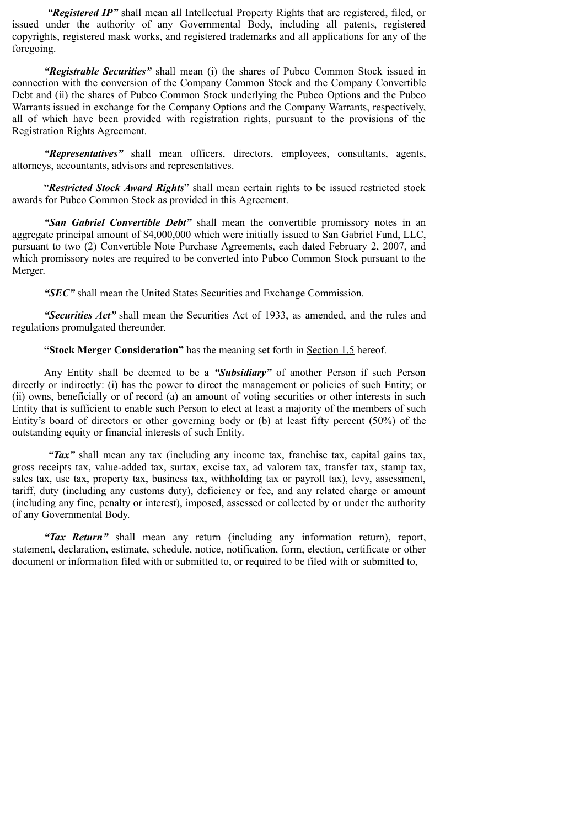*"Registered IP"* shall mean all Intellectual Property Rights that are registered, filed, or issued under the authority of any Governmental Body, including all patents, registered copyrights, registered mask works, and registered trademarks and all applications for any of the foregoing.

*"Registrable Securities"* shall mean (i) the shares of Pubco Common Stock issued in connection with the conversion of the Company Common Stock and the Company Convertible Debt and (ii) the shares of Pubco Common Stock underlying the Pubco Options and the Pubco Warrants issued in exchange for the Company Options and the Company Warrants, respectively, all of which have been provided with registration rights, pursuant to the provisions of the Registration Rights Agreement.

*"Representatives"* shall mean officers, directors, employees, consultants, agents, attorneys, accountants, advisors and representatives.

"*Restricted Stock Award Rights*" shall mean certain rights to be issued restricted stock awards for Pubco Common Stock as provided in this Agreement.

*"San Gabriel Convertible Debt"* shall mean the convertible promissory notes in an aggregate principal amount of \$4,000,000 which were initially issued to San Gabriel Fund, LLC, pursuant to two (2) Convertible Note Purchase Agreements, each dated February 2, 2007, and which promissory notes are required to be converted into Pubco Common Stock pursuant to the Merger.

*"SEC"* shall mean the United States Securities and Exchange Commission.

*"Securities Act"* shall mean the Securities Act of 1933, as amended, and the rules and regulations promulgated thereunder.

**"Stock Merger Consideration"** has the meaning set forth in Section 1.5 hereof.

Any Entity shall be deemed to be a *"Subsidiary"* of another Person if such Person directly or indirectly: (i) has the power to direct the management or policies of such Entity; or (ii) owns, beneficially or of record (a) an amount of voting securities or other interests in such Entity that is sufficient to enable such Person to elect at least a majority of the members of such Entity's board of directors or other governing body or (b) at least fifty percent (50%) of the outstanding equity or financial interests of such Entity.

*"Tax"* shall mean any tax (including any income tax, franchise tax, capital gains tax, gross receipts tax, value-added tax, surtax, excise tax, ad valorem tax, transfer tax, stamp tax, sales tax, use tax, property tax, business tax, withholding tax or payroll tax), levy, assessment, tariff, duty (including any customs duty), deficiency or fee, and any related charge or amount (including any fine, penalty or interest), imposed, assessed or collected by or under the authority of any Governmental Body.

*"Tax Return"* shall mean any return (including any information return), report, statement, declaration, estimate, schedule, notice, notification, form, election, certificate or other document or information filed with or submitted to, or required to be filed with or submitted to,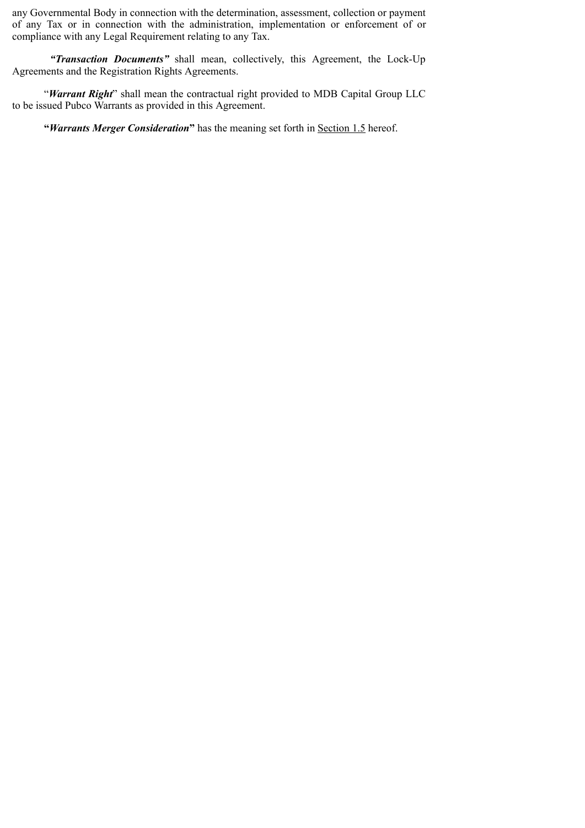any Governmental Body in connection with the determination, assessment, collection or payment of any Tax or in connection with the administration, implementation or enforcement of or compliance with any Legal Requirement relating to any Tax.

*"Transaction Documents"* shall mean, collectively, this Agreement, the Lock-Up Agreements and the Registration Rights Agreements.

"*Warrant Right*" shall mean the contractual right provided to MDB Capital Group LLC to be issued Pubco Warrants as provided in this Agreement.

**"***Warrants Merger Consideration***"** has the meaning set forth in Section 1.5 hereof.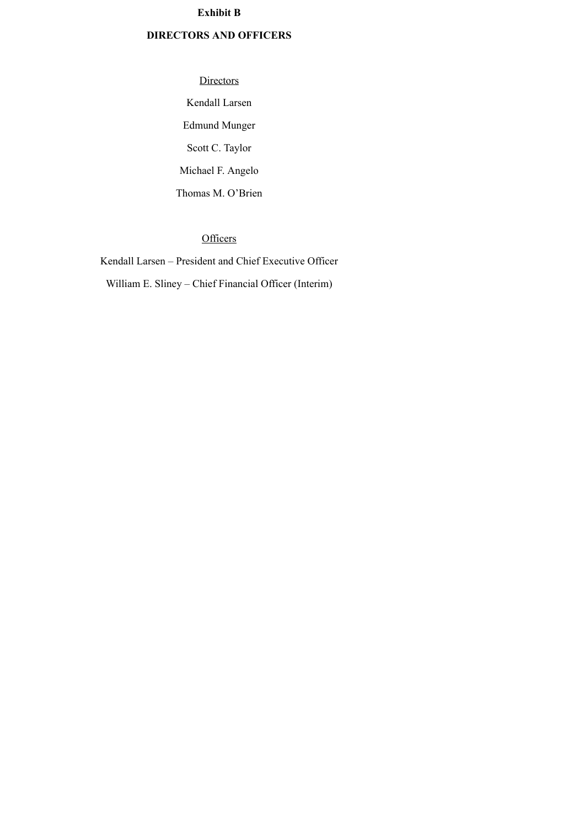## **Exhibit B**

## **DIRECTORS AND OFFICERS**

**Directors** Kendall Larsen Edmund Munger Scott C. Taylor Michael F. Angelo Thomas M. O'Brien

## **Officers**

Kendall Larsen – President and Chief Executive Officer William E. Sliney – Chief Financial Officer (Interim)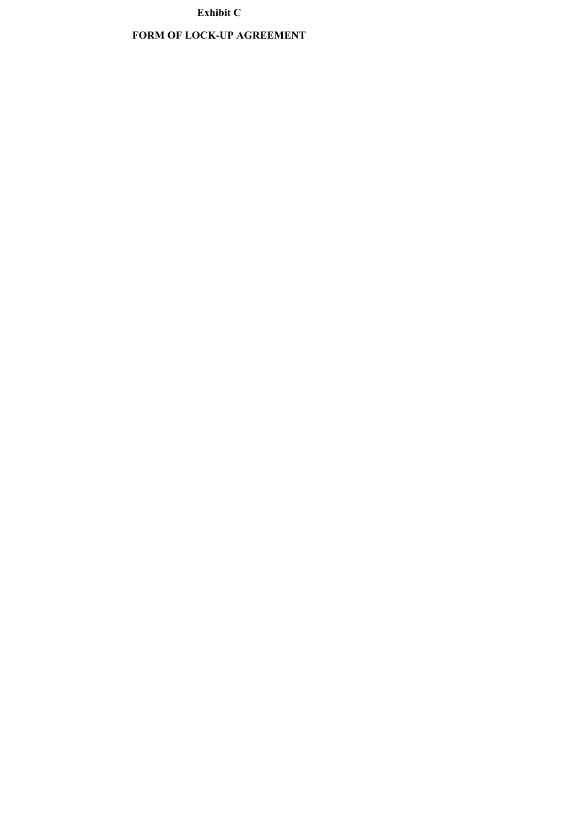## **Exhibit C**

## **FORM OF LOCK-UP AGREEMENT**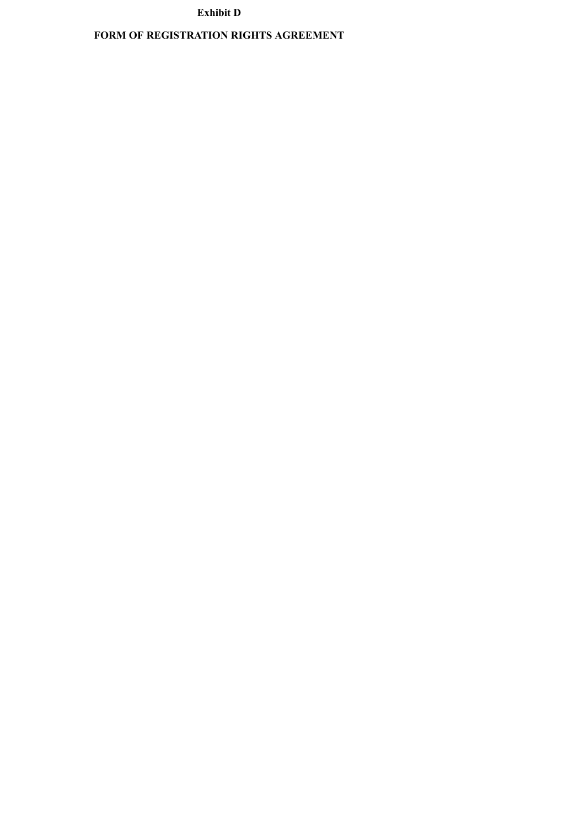## **Exhibit D**

## **FORM OF REGISTRATION RIGHTS AGREEMENT**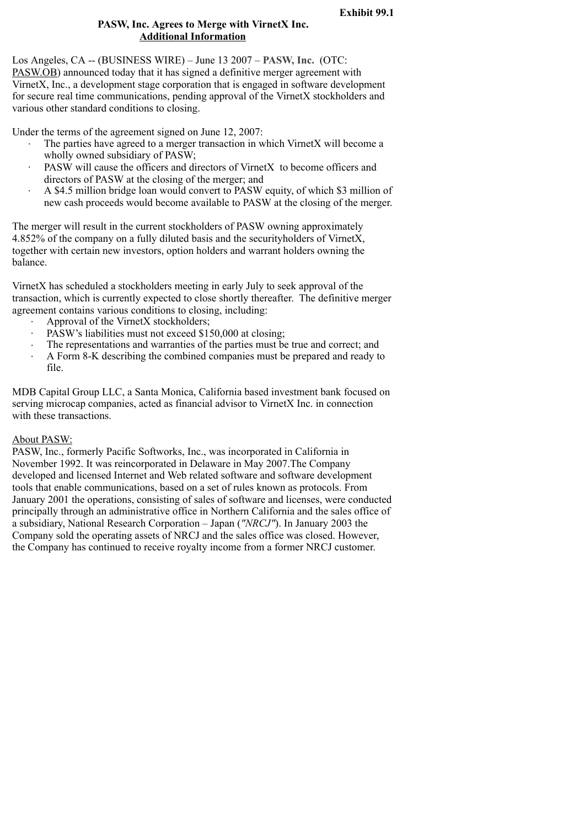### **PASW, Inc. Agrees to Merge with VirnetX Inc. Additional Information**

Los Angeles, CA -- (BUSINESS WIRE) – June 13 2007 – **PASW, Inc.** (OTC: PASW.OB) announced today that it has signed a definitive merger agreement with VirnetX, Inc., a development stage corporation that is engaged in software development for secure real time communications, pending approval of the VirnetX stockholders and various other standard conditions to closing.

Under the terms of the agreement signed on June 12, 2007:

- The parties have agreed to a merger transaction in which VirnetX will become a wholly owned subsidiary of PASW;
- PASW will cause the officers and directors of VirnetX to become officers and directors of PASW at the closing of the merger; and
- · A \$4.5 million bridge loan would convert to PASW equity, of which \$3 million of new cash proceeds would become available to PASW at the closing of the merger.

The merger will result in the current stockholders of PASW owning approximately 4.852% of the company on a fully diluted basis and the securityholders of VirnetX, together with certain new investors, option holders and warrant holders owning the balance.

VirnetX has scheduled a stockholders meeting in early July to seek approval of the transaction, which is currently expected to close shortly thereafter. The definitive merger agreement contains various conditions to closing, including:

- Approval of the VirnetX stockholders;
- PASW's liabilities must not exceed \$150,000 at closing;
- · The representations and warranties of the parties must be true and correct; and
- · A Form 8-K describing the combined companies must be prepared and ready to file.

MDB Capital Group LLC, a Santa Monica, California based investment bank focused on serving microcap companies, acted as financial advisor to VirnetX Inc. in connection with these transactions.

#### About PASW:

PASW, Inc., formerly Pacific Softworks, Inc., was incorporated in California in November 1992. It was reincorporated in Delaware in May 2007.The Company developed and licensed Internet and Web related software and software development tools that enable communications, based on a set of rules known as protocols. From January 2001 the operations, consisting of sales of software and licenses, were conducted principally through an administrative office in Northern California and the sales office of a subsidiary, National Research Corporation – Japan (*"NRCJ"*). In January 2003 the Company sold the operating assets of NRCJ and the sales office was closed. However, the Company has continued to receive royalty income from a former NRCJ customer.